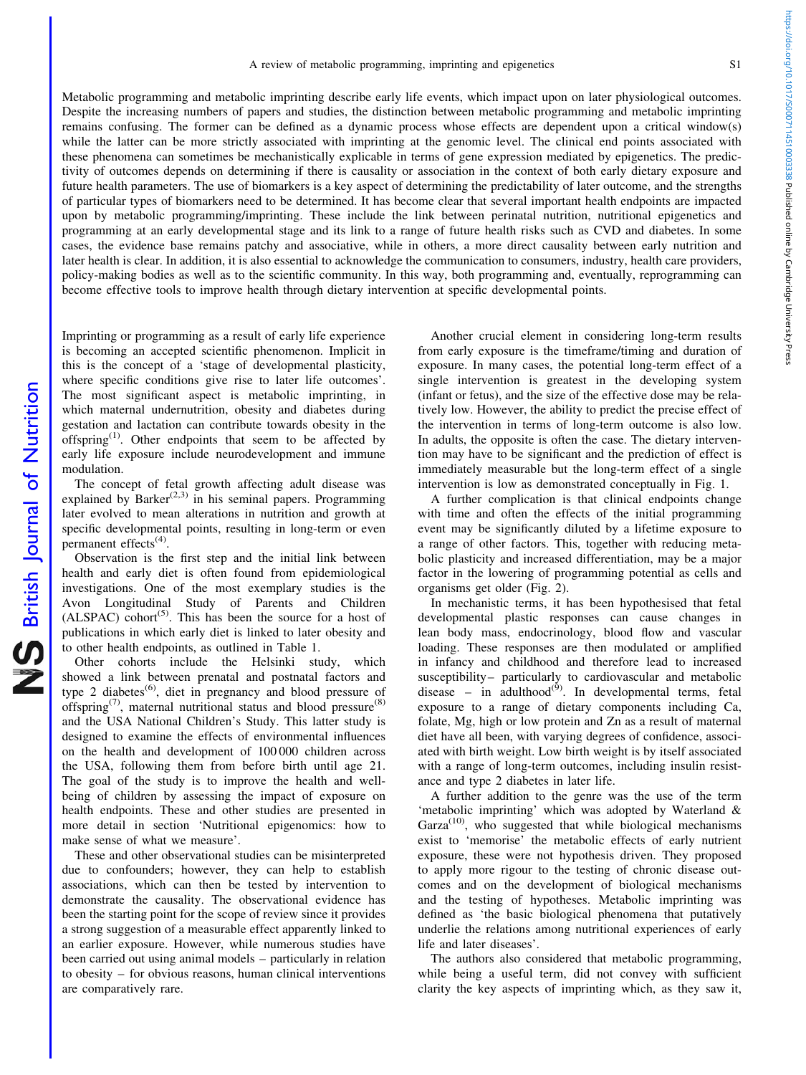Metabolic programming and metabolic imprinting describe early life events, which impact upon on later physiological outcomes. Despite the increasing numbers of papers and studies, the distinction between metabolic programming and metabolic imprinting remains confusing. The former can be defined as a dynamic process whose effects are dependent upon a critical window(s) while the latter can be more strictly associated with imprinting at the genomic level. The clinical end points associated with these phenomena can sometimes be mechanistically explicable in terms of gene expression mediated by epigenetics. The predictivity of outcomes depends on determining if there is causality or association in the context of both early dietary exposure and future health parameters. The use of biomarkers is a key aspect of determining the predictability of later outcome, and the strengths of particular types of biomarkers need to be determined. It has become clear that several important health endpoints are impacted upon by metabolic programming/imprinting. These include the link between perinatal nutrition, nutritional epigenetics and programming at an early developmental stage and its link to a range of future health risks such as CVD and diabetes. In some cases, the evidence base remains patchy and associative, while in others, a more direct causality between early nutrition and later health is clear. In addition, it is also essential to acknowledge the communication to consumers, industry, health care providers, policy-making bodies as well as to the scientific community. In this way, both programming and, eventually, reprogramming can become effective tools to improve health through dietary intervention at specific developmental points.

Imprinting or programming as a result of early life experience is becoming an accepted scientific phenomenon. Implicit in this is the concept of a 'stage of developmental plasticity, where specific conditions give rise to later life outcomes'. The most significant aspect is metabolic imprinting, in which maternal undernutrition, obesity and diabetes during gestation and lactation can contribute towards obesity in the offspring<sup>(1)</sup>. Other endpoints that seem to be affected by early life exposure include neurodevelopment and immune modulation.

The concept of fetal growth affecting adult disease was explained by Barker<sup> $(2,3)$ </sup> in his seminal papers. Programming later evolved to mean alterations in nutrition and growth at specific developmental points, resulting in long-term or even permanent effects $(4)$ .

Observation is the first step and the initial link between health and early diet is often found from epidemiological investigations. One of the most exemplary studies is the Avon Longitudinal Study of Parents and Children  $(ALSPACE)$  cohort<sup>(5)</sup>. This has been the source for a host of publications in which early diet is linked to later obesity and to other health endpoints, as outlined in [Table 1.](#page-1-0)

Other cohorts include the Helsinki study, which showed a link between prenatal and postnatal factors and type 2 diabetes<sup> $(6)$ </sup>, diet in pregnancy and blood pressure of offspring<sup>(7)</sup>, maternal nutritional status and blood pressure<sup>(8)</sup> and the USA National Children's Study. This latter study is designed to examine the effects of environmental influences on the health and development of 100 000 children across the USA, following them from before birth until age 21. The goal of the study is to improve the health and wellbeing of children by assessing the impact of exposure on health endpoints. These and other studies are presented in more detail in section 'Nutritional epigenomics: how to make sense of what we measure'.

These and other observational studies can be misinterpreted due to confounders; however, they can help to establish associations, which can then be tested by intervention to demonstrate the causality. The observational evidence has been the starting point for the scope of review since it provides a strong suggestion of a measurable effect apparently linked to an earlier exposure. However, while numerous studies have been carried out using animal models – particularly in relation to obesity – for obvious reasons, human clinical interventions are comparatively rare.

Another crucial element in considering long-term results from early exposure is the timeframe/timing and duration of exposure. In many cases, the potential long-term effect of a single intervention is greatest in the developing system (infant or fetus), and the size of the effective dose may be relatively low. However, the ability to predict the precise effect of the intervention in terms of long-term outcome is also low. In adults, the opposite is often the case. The dietary intervention may have to be significant and the prediction of effect is immediately measurable but the long-term effect of a single intervention is low as demonstrated conceptually in [Fig. 1](#page-1-0).

A further complication is that clinical endpoints change with time and often the effects of the initial programming event may be significantly diluted by a lifetime exposure to a range of other factors. This, together with reducing metabolic plasticity and increased differentiation, may be a major factor in the lowering of programming potential as cells and organisms get older ([Fig. 2](#page-2-0)).

In mechanistic terms, it has been hypothesised that fetal developmental plastic responses can cause changes in lean body mass, endocrinology, blood flow and vascular loading. These responses are then modulated or amplified in infancy and childhood and therefore lead to increased susceptibility– particularly to cardiovascular and metabolic disease – in adulthood $^{(9)}$ . In developmental terms, fetal exposure to a range of dietary components including Ca, folate, Mg, high or low protein and Zn as a result of maternal diet have all been, with varying degrees of confidence, associated with birth weight. Low birth weight is by itself associated with a range of long-term outcomes, including insulin resistance and type 2 diabetes in later life.

A further addition to the genre was the use of the term 'metabolic imprinting' which was adopted by Waterland & Garza<sup> $(10)$ </sup>, who suggested that while biological mechanisms exist to 'memorise' the metabolic effects of early nutrient exposure, these were not hypothesis driven. They proposed to apply more rigour to the testing of chronic disease outcomes and on the development of biological mechanisms and the testing of hypotheses. Metabolic imprinting was defined as 'the basic biological phenomena that putatively underlie the relations among nutritional experiences of early life and later diseases'.

The authors also considered that metabolic programming, while being a useful term, did not convey with sufficient clarity the key aspects of imprinting which, as they saw it, https://doi.org/10.1017/S0007114510003338 Published online by Cambridge University Press https://doi.org/10.1017/S0007114510003338 Published online by Cambridge University Press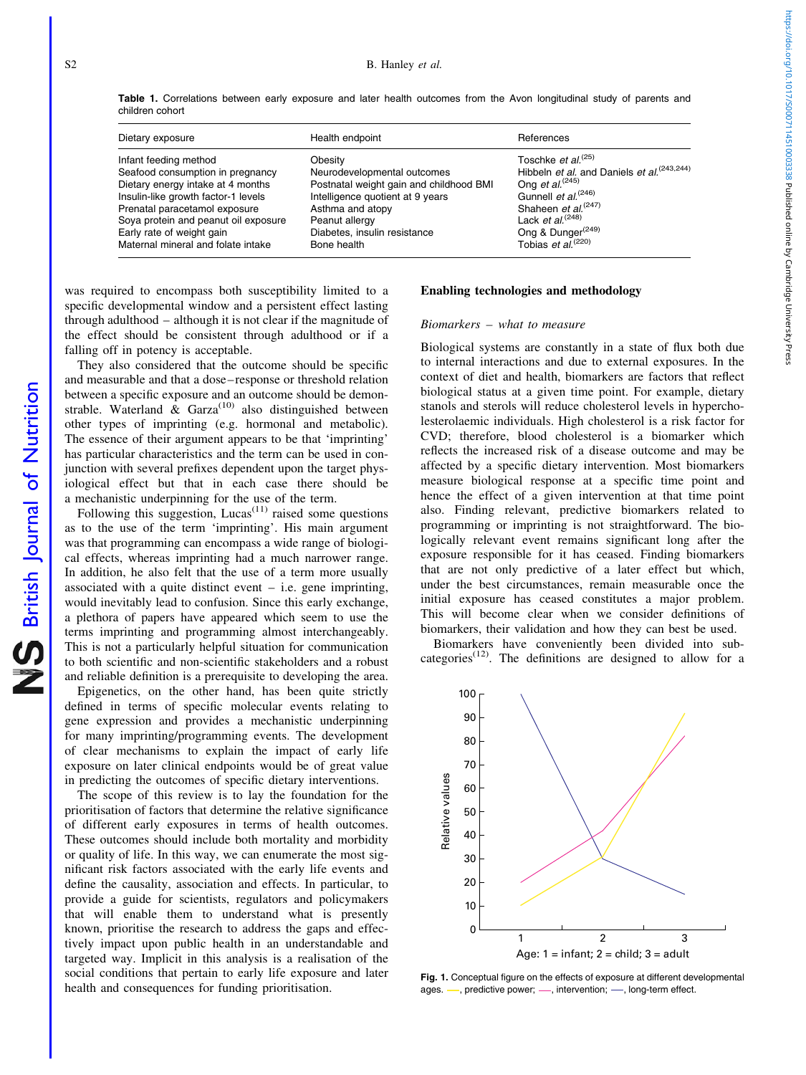<span id="page-1-0"></span>Table 1. Correlations between early exposure and later health outcomes from the Avon longitudinal study of parents and children cohort

| Dietary exposure                     | Health endpoint                         | References                                             |
|--------------------------------------|-----------------------------------------|--------------------------------------------------------|
| Infant feeding method                | Obesitv                                 | Toschke et $al^{(25)}$                                 |
| Seafood consumption in pregnancy     | Neurodevelopmental outcomes             | Hibbeln et al. and Daniels et al. <sup>(243,244)</sup> |
| Dietary energy intake at 4 months    | Postnatal weight gain and childhood BMI | Ong et al. $(245)$                                     |
| Insulin-like growth factor-1 levels  | Intelligence quotient at 9 years        | Gunnell et al. <sup>(246)</sup>                        |
| Prenatal paracetamol exposure        | Asthma and atopy                        | Shaheen et $al^{(247)}$                                |
| Sova protein and peanut oil exposure | Peanut allergy                          | Lack et al. $(248)$                                    |
| Early rate of weight gain            | Diabetes, insulin resistance            | Ong & Dunger <sup>(249)</sup>                          |
| Maternal mineral and folate intake   | Bone health                             | Tobias et $aI^{(220)}$                                 |

was required to encompass both susceptibility limited to a specific developmental window and a persistent effect lasting through adulthood – although it is not clear if the magnitude of the effect should be consistent through adulthood or if a falling off in potency is acceptable.

They also considered that the outcome should be specific and measurable and that a dose–response or threshold relation between a specific exposure and an outcome should be demonstrable. Waterland  $\&$  Garza<sup>(10)</sup> also distinguished between other types of imprinting (e.g. hormonal and metabolic). The essence of their argument appears to be that 'imprinting' has particular characteristics and the term can be used in conjunction with several prefixes dependent upon the target physiological effect but that in each case there should be a mechanistic underpinning for the use of the term.

Following this suggestion,  $Lucas<sup>(11)</sup>$  raised some questions as to the use of the term 'imprinting'. His main argument was that programming can encompass a wide range of biological effects, whereas imprinting had a much narrower range. In addition, he also felt that the use of a term more usually associated with a quite distinct event  $-$  i.e. gene imprinting, would inevitably lead to confusion. Since this early exchange, a plethora of papers have appeared which seem to use the terms imprinting and programming almost interchangeably. This is not a particularly helpful situation for communication to both scientific and non-scientific stakeholders and a robust and reliable definition is a prerequisite to developing the area.

Epigenetics, on the other hand, has been quite strictly defined in terms of specific molecular events relating to gene expression and provides a mechanistic underpinning for many imprinting/programming events. The development of clear mechanisms to explain the impact of early life exposure on later clinical endpoints would be of great value in predicting the outcomes of specific dietary interventions.

The scope of this review is to lay the foundation for the prioritisation of factors that determine the relative significance of different early exposures in terms of health outcomes. These outcomes should include both mortality and morbidity or quality of life. In this way, we can enumerate the most significant risk factors associated with the early life events and define the causality, association and effects. In particular, to provide a guide for scientists, regulators and policymakers that will enable them to understand what is presently known, prioritise the research to address the gaps and effectively impact upon public health in an understandable and targeted way. Implicit in this analysis is a realisation of the social conditions that pertain to early life exposure and later health and consequences for funding prioritisation.

# Enabling technologies and methodology

#### Biomarkers – what to measure

Biological systems are constantly in a state of flux both due to internal interactions and due to external exposures. In the context of diet and health, biomarkers are factors that reflect biological status at a given time point. For example, dietary stanols and sterols will reduce cholesterol levels in hypercholesterolaemic individuals. High cholesterol is a risk factor for CVD; therefore, blood cholesterol is a biomarker which reflects the increased risk of a disease outcome and may be affected by a specific dietary intervention. Most biomarkers measure biological response at a specific time point and hence the effect of a given intervention at that time point also. Finding relevant, predictive biomarkers related to programming or imprinting is not straightforward. The biologically relevant event remains significant long after the exposure responsible for it has ceased. Finding biomarkers that are not only predictive of a later effect but which, under the best circumstances, remain measurable once the initial exposure has ceased constitutes a major problem. This will become clear when we consider definitions of biomarkers, their validation and how they can best be used.

Biomarkers have conveniently been divided into subcategories<sup> $(12)$ </sup>. The definitions are designed to allow for a



Fig. 1. Conceptual figure on the effects of exposure at different developmental ages. - predictive power; - intervention; - long-term effect.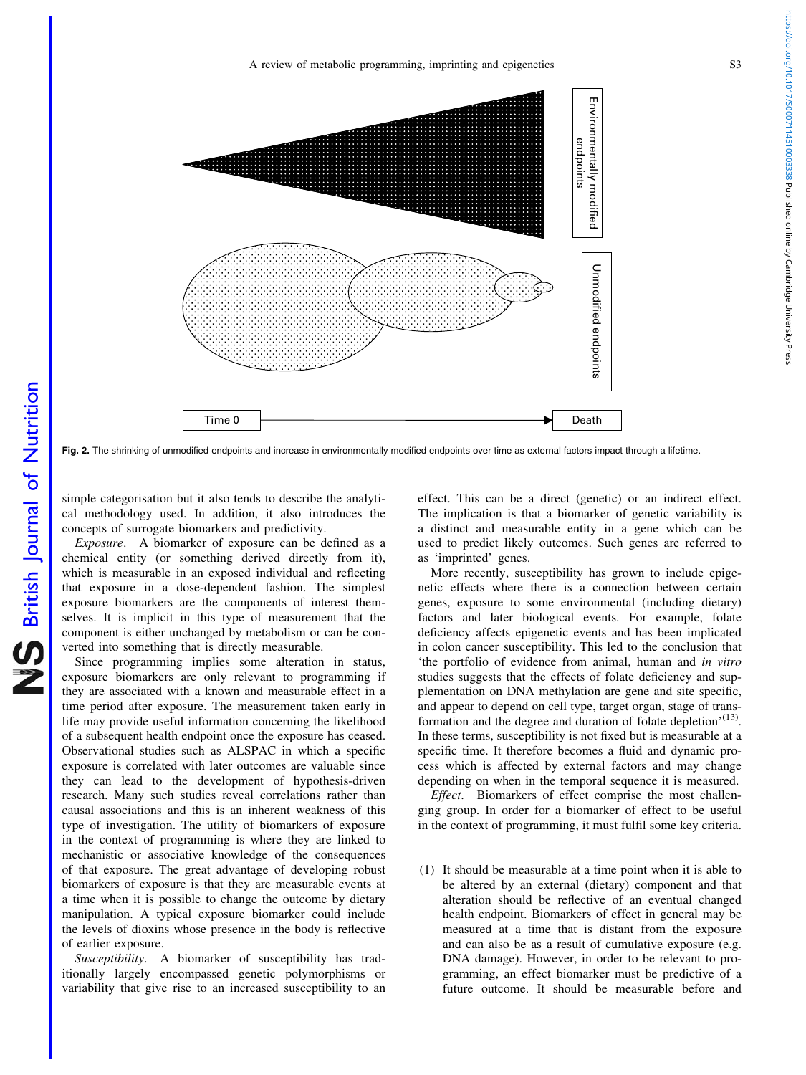<span id="page-2-0"></span>

Fig. 2. The shrinking of unmodified endpoints and increase in environmentally modified endpoints over time as external factors impact through a lifetime.

simple categorisation but it also tends to describe the analytical methodology used. In addition, it also introduces the concepts of surrogate biomarkers and predictivity.

Exposure. A biomarker of exposure can be defined as a chemical entity (or something derived directly from it), which is measurable in an exposed individual and reflecting that exposure in a dose-dependent fashion. The simplest exposure biomarkers are the components of interest themselves. It is implicit in this type of measurement that the component is either unchanged by metabolism or can be converted into something that is directly measurable.

Since programming implies some alteration in status, exposure biomarkers are only relevant to programming if they are associated with a known and measurable effect in a time period after exposure. The measurement taken early in life may provide useful information concerning the likelihood of a subsequent health endpoint once the exposure has ceased. Observational studies such as ALSPAC in which a specific exposure is correlated with later outcomes are valuable since they can lead to the development of hypothesis-driven research. Many such studies reveal correlations rather than causal associations and this is an inherent weakness of this type of investigation. The utility of biomarkers of exposure in the context of programming is where they are linked to mechanistic or associative knowledge of the consequences of that exposure. The great advantage of developing robust biomarkers of exposure is that they are measurable events at a time when it is possible to change the outcome by dietary manipulation. A typical exposure biomarker could include the levels of dioxins whose presence in the body is reflective of earlier exposure.

Susceptibility. A biomarker of susceptibility has traditionally largely encompassed genetic polymorphisms or variability that give rise to an increased susceptibility to an effect. This can be a direct (genetic) or an indirect effect. The implication is that a biomarker of genetic variability is a distinct and measurable entity in a gene which can be used to predict likely outcomes. Such genes are referred to as 'imprinted' genes.

More recently, susceptibility has grown to include epigenetic effects where there is a connection between certain genes, exposure to some environmental (including dietary) factors and later biological events. For example, folate deficiency affects epigenetic events and has been implicated in colon cancer susceptibility. This led to the conclusion that 'the portfolio of evidence from animal, human and in vitro studies suggests that the effects of folate deficiency and supplementation on DNA methylation are gene and site specific, and appear to depend on cell type, target organ, stage of transformation and the degree and duration of folate depletion<sup> $(13)$ </sup>. In these terms, susceptibility is not fixed but is measurable at a specific time. It therefore becomes a fluid and dynamic process which is affected by external factors and may change depending on when in the temporal sequence it is measured.

Effect. Biomarkers of effect comprise the most challenging group. In order for a biomarker of effect to be useful in the context of programming, it must fulfil some key criteria.

(1) It should be measurable at a time point when it is able to be altered by an external (dietary) component and that alteration should be reflective of an eventual changed health endpoint. Biomarkers of effect in general may be measured at a time that is distant from the exposure and can also be as a result of cumulative exposure (e.g. DNA damage). However, in order to be relevant to programming, an effect biomarker must be predictive of a future outcome. It should be measurable before and

https://doi.org/10.1017/S0007114510003338 Published online by Cambridge University Press https://doi.org/10.1017/S0007114510003338 Published online by Cambridge University Press

British Journal of Nutrition

NS British Journal of Nutrition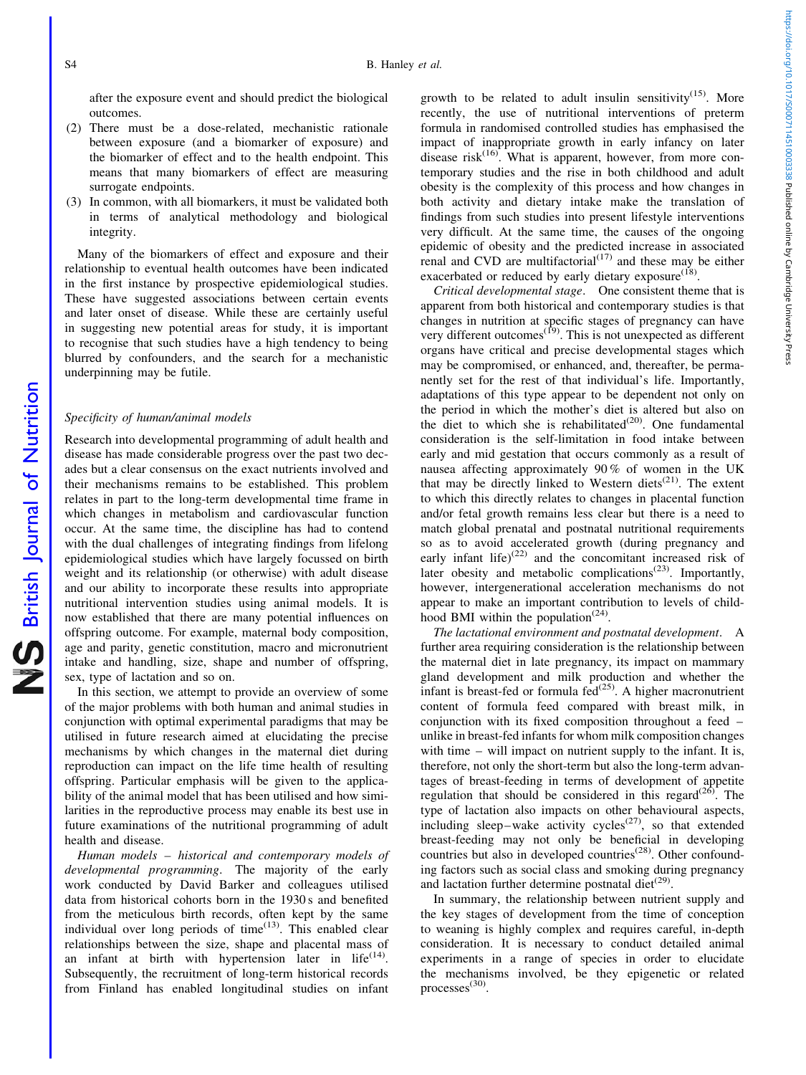after the exposure event and should predict the biological outcomes.

- (2) There must be a dose-related, mechanistic rationale between exposure (and a biomarker of exposure) and the biomarker of effect and to the health endpoint. This means that many biomarkers of effect are measuring surrogate endpoints.
- (3) In common, with all biomarkers, it must be validated both in terms of analytical methodology and biological integrity.

Many of the biomarkers of effect and exposure and their relationship to eventual health outcomes have been indicated in the first instance by prospective epidemiological studies. These have suggested associations between certain events and later onset of disease. While these are certainly useful in suggesting new potential areas for study, it is important to recognise that such studies have a high tendency to being blurred by confounders, and the search for a mechanistic underpinning may be futile.

## Specificity of human/animal models

Research into developmental programming of adult health and disease has made considerable progress over the past two decades but a clear consensus on the exact nutrients involved and their mechanisms remains to be established. This problem relates in part to the long-term developmental time frame in which changes in metabolism and cardiovascular function occur. At the same time, the discipline has had to contend with the dual challenges of integrating findings from lifelong epidemiological studies which have largely focussed on birth weight and its relationship (or otherwise) with adult disease and our ability to incorporate these results into appropriate nutritional intervention studies using animal models. It is now established that there are many potential influences on offspring outcome. For example, maternal body composition, age and parity, genetic constitution, macro and micronutrient intake and handling, size, shape and number of offspring, sex, type of lactation and so on.

In this section, we attempt to provide an overview of some of the major problems with both human and animal studies in conjunction with optimal experimental paradigms that may be utilised in future research aimed at elucidating the precise mechanisms by which changes in the maternal diet during reproduction can impact on the life time health of resulting offspring. Particular emphasis will be given to the applicability of the animal model that has been utilised and how similarities in the reproductive process may enable its best use in future examinations of the nutritional programming of adult health and disease.

Human models – historical and contemporary models of developmental programming. The majority of the early work conducted by David Barker and colleagues utilised data from historical cohorts born in the 1930 s and benefited from the meticulous birth records, often kept by the same individual over long periods of time<sup>(13)</sup>. This enabled clear relationships between the size, shape and placental mass of an infant at birth with hypertension later in life $^{(14)}$ . Subsequently, the recruitment of long-term historical records from Finland has enabled longitudinal studies on infant

growth to be related to adult insulin sensitivity<sup>(15)</sup>. More recently, the use of nutritional interventions of preterm formula in randomised controlled studies has emphasised the impact of inappropriate growth in early infancy on later disease risk<sup>(16)</sup>. What is apparent, however, from more contemporary studies and the rise in both childhood and adult obesity is the complexity of this process and how changes in both activity and dietary intake make the translation of findings from such studies into present lifestyle interventions very difficult. At the same time, the causes of the ongoing epidemic of obesity and the predicted increase in associated renal and CVD are multifactorial<sup> $(17)$ </sup> and these may be either exacerbated or reduced by early dietary exposure<sup>(18)</sup>.

Critical developmental stage. One consistent theme that is apparent from both historical and contemporary studies is that changes in nutrition at specific stages of pregnancy can have very different outcomes<sup>(19)</sup>. This is not unexpected as different organs have critical and precise developmental stages which may be compromised, or enhanced, and, thereafter, be permanently set for the rest of that individual's life. Importantly, adaptations of this type appear to be dependent not only on the period in which the mother's diet is altered but also on the diet to which she is rehabilitated<sup>(20)</sup>. One fundamental consideration is the self-limitation in food intake between early and mid gestation that occurs commonly as a result of nausea affecting approximately 90 % of women in the UK that may be directly linked to Western diets<sup> $(21)$ </sup>. The extent to which this directly relates to changes in placental function and/or fetal growth remains less clear but there is a need to match global prenatal and postnatal nutritional requirements so as to avoid accelerated growth (during pregnancy and early infant life)<sup> $(22)$ </sup> and the concomitant increased risk of later obesity and metabolic complications<sup> $(23)$ </sup>. Importantly, however, intergenerational acceleration mechanisms do not appear to make an important contribution to levels of childhood BMI within the population<sup> $(24)$ </sup>.

The lactational environment and postnatal development. A further area requiring consideration is the relationship between the maternal diet in late pregnancy, its impact on mammary gland development and milk production and whether the infant is breast-fed or formula  $f_{\text{ed}}^{(25)}$ . A higher macronutrient content of formula feed compared with breast milk, in conjunction with its fixed composition throughout a feed – unlike in breast-fed infants for whom milk composition changes with time – will impact on nutrient supply to the infant. It is, therefore, not only the short-term but also the long-term advantages of breast-feeding in terms of development of appetite regulation that should be considered in this regard<sup> $(26)$ </sup>. The type of lactation also impacts on other behavioural aspects, including sleep–wake activity cycles<sup> $(27)$ </sup>, so that extended breast-feeding may not only be beneficial in developing countries but also in developed countries<sup>(28)</sup>. Other confounding factors such as social class and smoking during pregnancy and lactation further determine postnatal diet $(29)$ .

In summary, the relationship between nutrient supply and the key stages of development from the time of conception to weaning is highly complex and requires careful, in-depth consideration. It is necessary to conduct detailed animal experiments in a range of species in order to elucidate the mechanisms involved, be they epigenetic or related processes<sup>(30)</sup>.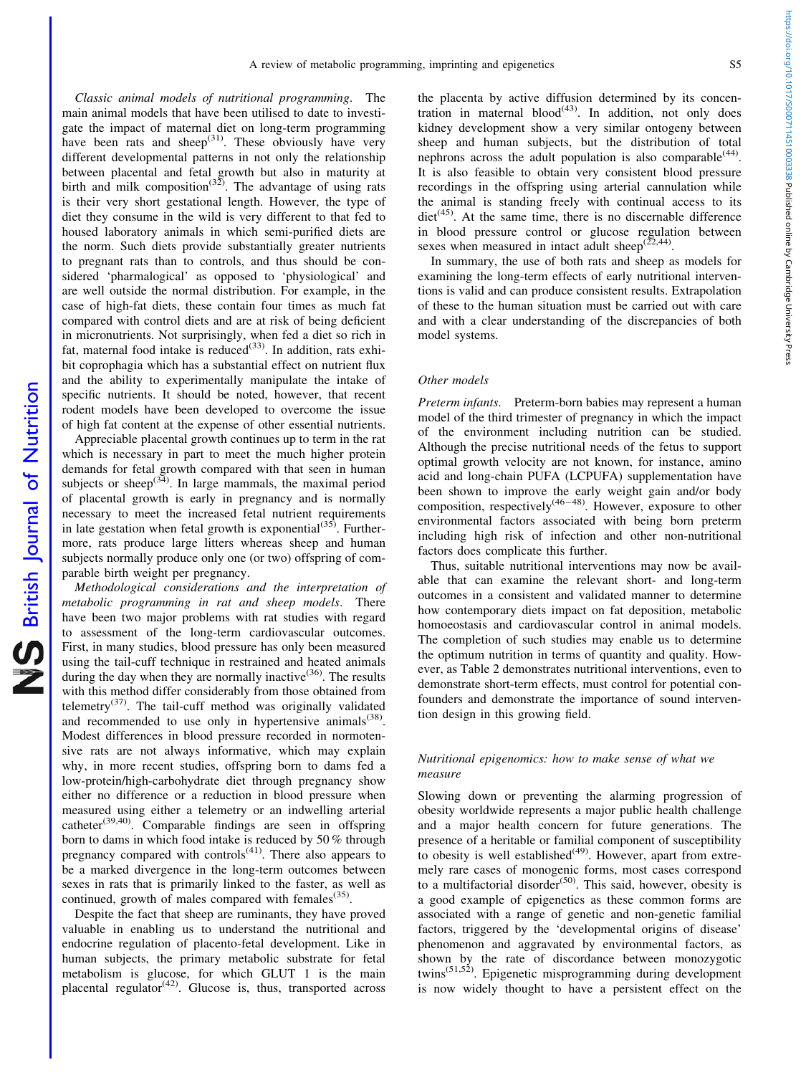Classic animal models of nutritional programming. The main animal models that have been utilised to date to investigate the impact of maternal diet on long-term programming have been rats and sheep<sup>(31)</sup>. These obviously have very different developmental patterns in not only the relationship between placental and fetal growth but also in maturity at birth and milk composition<sup>(32)</sup>. The advantage of using rats is their very short gestational length. However, the type of diet they consume in the wild is very different to that fed to housed laboratory animals in which semi-purified diets are the norm. Such diets provide substantially greater nutrients to pregnant rats than to controls, and thus should be considered 'pharmalogical' as opposed to 'physiological' and are well outside the normal distribution. For example, in the case of high-fat diets, these contain four times as much fat compared with control diets and are at risk of being deficient in micronutrients. Not surprisingly, when fed a diet so rich in fat, maternal food intake is reduced<sup>(33)</sup>. In addition, rats exhibit coprophagia which has a substantial effect on nutrient flux and the ability to experimentally manipulate the intake of specific nutrients. It should be noted, however, that recent rodent models have been developed to overcome the issue of high fat content at the expense of other essential nutrients.

Appreciable placental growth continues up to term in the rat which is necessary in part to meet the much higher protein demands for fetal growth compared with that seen in human subjects or sheep<sup>(34)</sup>. In large mammals, the maximal period of placental growth is early in pregnancy and is normally necessary to meet the increased fetal nutrient requirements in late gestation when fetal growth is exponential<sup>(35)</sup>. Furthermore, rats produce large litters whereas sheep and human subjects normally produce only one (or two) offspring of comparable birth weight per pregnancy.

Methodological considerations and the interpretation of metabolic programming in rat and sheep models. There have been two major problems with rat studies with regard to assessment of the long-term cardiovascular outcomes. First, in many studies, blood pressure has only been measured using the tail-cuff technique in restrained and heated animals during the day when they are normally inactive $^{(36)}$ . The results with this method differ considerably from those obtained from telemetry<sup>(37)</sup>. The tail-cuff method was originally validated and recommended to use only in hypertensive animals<sup> $(38)$ </sup>. Modest differences in blood pressure recorded in normotensive rats are not always informative, which may explain why, in more recent studies, offspring born to dams fed a low-protein/high-carbohydrate diet through pregnancy show either no difference or a reduction in blood pressure when measured using either a telemetry or an indwelling arterial catheter<sup>(39,40)</sup>. Comparable findings are seen in offspring born to dams in which food intake is reduced by 50 % through pregnancy compared with controls $(41)$ . There also appears to be a marked divergence in the long-term outcomes between sexes in rats that is primarily linked to the faster, as well as continued, growth of males compared with females<sup>(35)</sup>.

Despite the fact that sheep are ruminants, they have proved valuable in enabling us to understand the nutritional and endocrine regulation of placento-fetal development. Like in human subjects, the primary metabolic substrate for fetal metabolism is glucose, for which GLUT 1 is the main placental regulator<sup> $(42)$ </sup>. Glucose is, thus, transported across the placenta by active diffusion determined by its concentration in maternal blood<sup> $(43)$ </sup>. In addition, not only does kidney development show a very similar ontogeny between sheep and human subjects, but the distribution of total nephrons across the adult population is also comparable<sup> $(44)$ </sup>. It is also feasible to obtain very consistent blood pressure recordings in the offspring using arterial cannulation while the animal is standing freely with continual access to its  $\text{dist}^{(45)}$ . At the same time, there is no discernable difference in blood pressure control or glucose regulation between sexes when measured in intact adult sheep<sup> $(22,44)$ </sup>.

In summary, the use of both rats and sheep as models for examining the long-term effects of early nutritional interventions is valid and can produce consistent results. Extrapolation of these to the human situation must be carried out with care and with a clear understanding of the discrepancies of both model systems.

## Other models

Preterm infants. Preterm-born babies may represent a human model of the third trimester of pregnancy in which the impact of the environment including nutrition can be studied. Although the precise nutritional needs of the fetus to support optimal growth velocity are not known, for instance, amino acid and long-chain PUFA (LCPUFA) supplementation have been shown to improve the early weight gain and/or body composition, respectively $(46-48)$ . However, exposure to other environmental factors associated with being born preterm including high risk of infection and other non-nutritional factors does complicate this further.

Thus, suitable nutritional interventions may now be available that can examine the relevant short- and long-term outcomes in a consistent and validated manner to determine how contemporary diets impact on fat deposition, metabolic homoeostasis and cardiovascular control in animal models. The completion of such studies may enable us to determine the optimum nutrition in terms of quantity and quality. However, as [Table 2](#page-5-0) demonstrates nutritional interventions, even to demonstrate short-term effects, must control for potential confounders and demonstrate the importance of sound intervention design in this growing field.

# Nutritional epigenomics: how to make sense of what we measure

Slowing down or preventing the alarming progression of obesity worldwide represents a major public health challenge and a major health concern for future generations. The presence of a heritable or familial component of susceptibility to obesity is well established $(49)$ . However, apart from extremely rare cases of monogenic forms, most cases correspond to a multifactorial disorder<sup> $(50)$ </sup>. This said, however, obesity is a good example of epigenetics as these common forms are associated with a range of genetic and non-genetic familial factors, triggered by the 'developmental origins of disease' phenomenon and aggravated by environmental factors, as shown by the rate of discordance between monozygotic twins(51,52). Epigenetic misprogramming during development is now widely thought to have a persistent effect on the https://doi.org/10.1017/S0007114510003338 Published online by Cambridge University Pres https://doi.org/10.1017/S0007114510003338 Published online by Cambridge University Press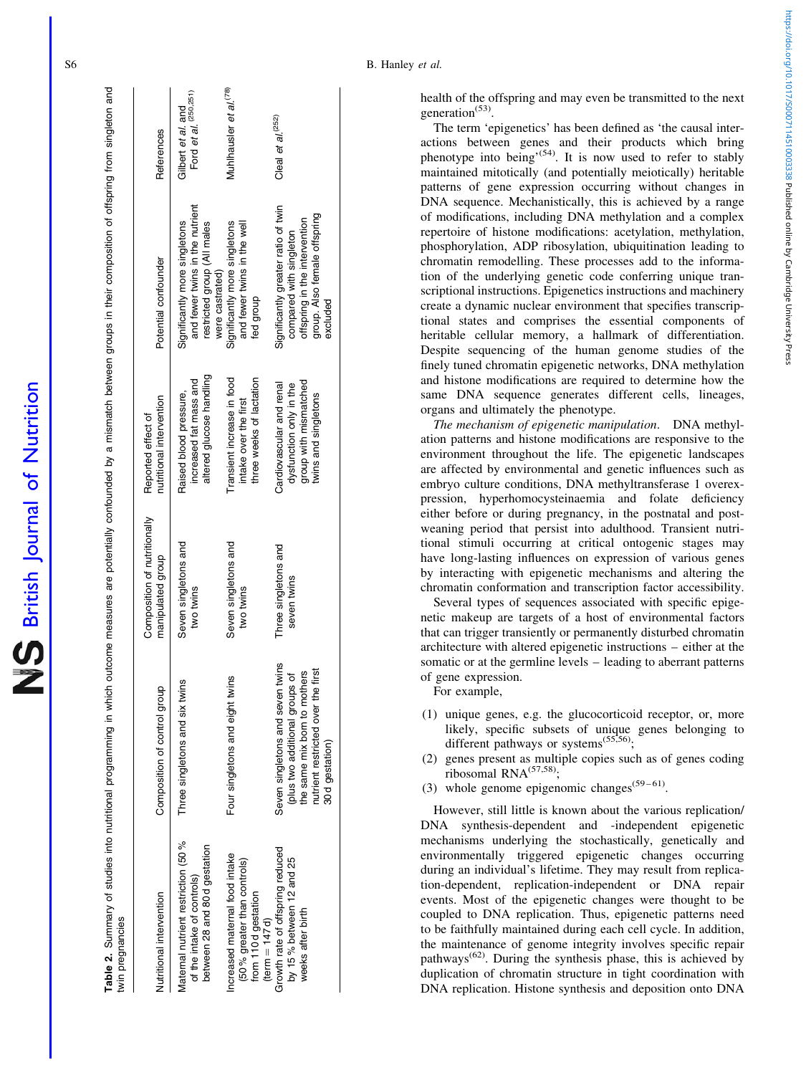| $\mathbf{I}$ |  |
|--------------|--|
| n            |  |
| (<br>{<br>Í  |  |
| t<br>Ĺ       |  |
|              |  |

 $\blacksquare$ 

<span id="page-5-0"></span>Table 2. Summary of studies into nutritional programming in which outcome measures are potentially confounded by a mismatch between groups in their composition of offspring from singleton and Summary of studies into nutritional programming in which outcome measures are potentially confounded by a mismatch between groups in their composition of offspring from singleton and twin pregnancies twin pregnancies

| Nutritional intervention                                                                                | Composition of control group                                                                                                                                  | Composition of nutritionally<br>manipulated group | nutritional intervention<br>Reported effect of                                                       | Potential confounder                                                                                                                        | References                                   |
|---------------------------------------------------------------------------------------------------------|---------------------------------------------------------------------------------------------------------------------------------------------------------------|---------------------------------------------------|------------------------------------------------------------------------------------------------------|---------------------------------------------------------------------------------------------------------------------------------------------|----------------------------------------------|
| laternal nutrient restriction (50%<br>between 28 and 80 d gestation<br>of the intake of controls)       | Three singletons and six twins                                                                                                                                | Seven singletons and<br>two twins                 | altered glucose handling<br>increased fat mass and<br>Raised blood pressure,                         | and fewer twins in the nutrient<br>Significantly more singletons<br>restricted group (All males<br>were castrated)                          | Ford et al. (250, 251)<br>Gilbert et al. and |
| ncreased maternal food intake<br>(50% greater than controls)<br>from 110d gestation<br>$(term = 147 d)$ | Four singletons and eight twins                                                                                                                               | Seven singletons and<br>two twins                 | three weeks of lactation<br>Transient increase in food<br>intake over the first                      | Significantly more singletons<br>and fewer twins in the well<br>fed group                                                                   | Muhlhausler et al. <sup>(78)</sup>           |
| Growth rate of offspring reduced<br>by 15% between 12 and 25<br>weeks after birth                       | twins<br>nutrient restricted over the first<br>the same mix born to mothers<br>(plus two additional groups of<br>Seven singletons and seven<br>30d gestation) | Three singletons and<br>seven twins               | group with mismatched<br>twins and singletons<br>Cardiovascular and renal<br>dysfunction only in the | Significantly greater ratio of twin<br>group. Also female offspring<br>offspring in the intervention<br>compared with singleton<br>excluded | Cleal et al. <sup>(252)</sup>                |

health of the offspring and may even be transmitted to the next generation<sup>(53)</sup>.

The term 'epigenetics' has been defined as 'the causal interactions between genes and their products which bring phenotype into being<sup> $(54)$ </sup>. It is now used to refer to stably maintained mitotically (and potentially meiotically) heritable patterns of gene expression occurring without changes in DNA sequence. Mechanistically, this is achieved by a range of modifications, including DNA methylation and a complex repertoire of histone modifications: acetylation, methylation, phosphorylation, ADP ribosylation, ubiquitination leading to chromatin remodelling. These processes add to the information of the underlying genetic code conferring unique transcriptional instructions. Epigenetics instructions and machinery create a dynamic nuclear environment that specifies transcriptional states and comprises the essential components of heritable cellular memory, a hallmark of differentiation. Despite sequencing of the human genome studies of the finely tuned chromatin epigenetic networks, DNA methylation and histone modifications are required to determine how the same DNA sequence generates different cells, lineages, organs and ultimately the phenotype.

The mechanism of epigenetic manipulation. DNA methylation patterns and histone modifications are responsive to the environment throughout the life. The epigenetic landscapes are affected by environmental and genetic influences such as embryo culture conditions, DNA methyltransferase 1 overexpression, hyperhomocysteinaemia and folate deficiency either before or during pregnancy, in the postnatal and postweaning period that persist into adulthood. Transient nutritional stimuli occurring at critical ontogenic stages may have long-lasting influences on expression of various genes by interacting with epigenetic mechanisms and altering the chromatin conformation and transcription factor accessibility.

Several types of sequences associated with specific epigenetic makeup are targets of a host of environmental factors that can trigger transiently or permanently disturbed chromatin architecture with altered epigenetic instructions – either at the somatic or at the germline levels – leading to aberrant patterns of gene expression.

For example,

- (1) unique genes, e.g. the glucocorticoid receptor, or, more likely, specific subsets of unique genes belonging to different pathways or systems<sup>(55,56)</sup>;
- (2) genes present as multiple copies such as of genes coding  $ribosomal RNA<sup>(57,58)</sup>$ ;
- (3) whole genome epigenomic changes<sup>(59-61)</sup>.

However, still little is known about the various replication/ DNA synthesis-dependent and -independent epigenetic mechanisms underlying the stochastically, genetically and environmentally triggered epigenetic changes occurring during an individual's lifetime. They may result from replication-dependent, replication-independent or DNA repair events. Most of the epigenetic changes were thought to be coupled to DNA replication. Thus, epigenetic patterns need to be faithfully maintained during each cell cycle. In addition, the maintenance of genome integrity involves specific repair pathways(62). During the synthesis phase, this is achieved by duplication of chromatin structure in tight coordination with DNA replication. Histone synthesis and deposition onto DNA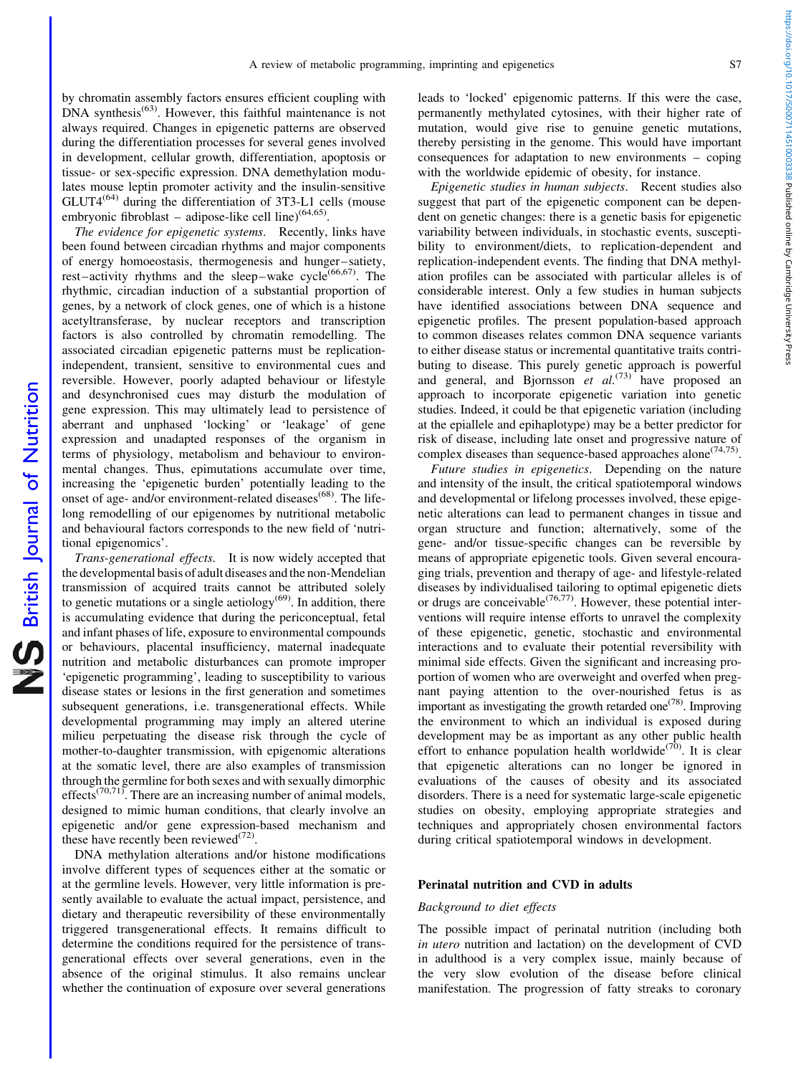by chromatin assembly factors ensures efficient coupling with  $DNA$  synthesis<sup>(63)</sup>. However, this faithful maintenance is not always required. Changes in epigenetic patterns are observed during the differentiation processes for several genes involved in development, cellular growth, differentiation, apoptosis or tissue- or sex-specific expression. DNA demethylation modulates mouse leptin promoter activity and the insulin-sensitive GLUT4<sup>(64)</sup> during the differentiation of 3T3-L1 cells (mouse embryonic fibroblast – adipose-like cell line $)^{(64,65)}$ .

The evidence for epigenetic systems. Recently, links have been found between circadian rhythms and major components of energy homoeostasis, thermogenesis and hunger–satiety, rest–activity rhythms and the sleep–wake cycle<sup>(66,67)</sup>. The rhythmic, circadian induction of a substantial proportion of genes, by a network of clock genes, one of which is a histone acetyltransferase, by nuclear receptors and transcription factors is also controlled by chromatin remodelling. The associated circadian epigenetic patterns must be replicationindependent, transient, sensitive to environmental cues and reversible. However, poorly adapted behaviour or lifestyle and desynchronised cues may disturb the modulation of gene expression. This may ultimately lead to persistence of aberrant and unphased 'locking' or 'leakage' of gene expression and unadapted responses of the organism in terms of physiology, metabolism and behaviour to environmental changes. Thus, epimutations accumulate over time, increasing the 'epigenetic burden' potentially leading to the onset of age- and/or environment-related diseases<sup>(68)</sup>. The lifelong remodelling of our epigenomes by nutritional metabolic and behavioural factors corresponds to the new field of 'nutritional epigenomics'.

Trans-generational effects. It is now widely accepted that the developmental basis of adult diseases and the non-Mendelian transmission of acquired traits cannot be attributed solely to genetic mutations or a single aetiology<sup>(69)</sup>. In addition, there is accumulating evidence that during the periconceptual, fetal and infant phases of life, exposure to environmental compounds or behaviours, placental insufficiency, maternal inadequate nutrition and metabolic disturbances can promote improper 'epigenetic programming', leading to susceptibility to various disease states or lesions in the first generation and sometimes subsequent generations, i.e. transgenerational effects. While developmental programming may imply an altered uterine milieu perpetuating the disease risk through the cycle of mother-to-daughter transmission, with epigenomic alterations at the somatic level, there are also examples of transmission through the germline for both sexes and with sexually dimorphic effects<sup> $(70,71)$ </sup>. There are an increasing number of animal models, designed to mimic human conditions, that clearly involve an epigenetic and/or gene expression-based mechanism and these have recently been reviewed $^{(72)}$ .

DNA methylation alterations and/or histone modifications involve different types of sequences either at the somatic or at the germline levels. However, very little information is presently available to evaluate the actual impact, persistence, and dietary and therapeutic reversibility of these environmentally triggered transgenerational effects. It remains difficult to determine the conditions required for the persistence of transgenerational effects over several generations, even in the absence of the original stimulus. It also remains unclear whether the continuation of exposure over several generations leads to 'locked' epigenomic patterns. If this were the case, permanently methylated cytosines, with their higher rate of mutation, would give rise to genuine genetic mutations, thereby persisting in the genome. This would have important consequences for adaptation to new environments – coping with the worldwide epidemic of obesity, for instance.

Epigenetic studies in human subjects. Recent studies also suggest that part of the epigenetic component can be dependent on genetic changes: there is a genetic basis for epigenetic variability between individuals, in stochastic events, susceptibility to environment/diets, to replication-dependent and replication-independent events. The finding that DNA methylation profiles can be associated with particular alleles is of considerable interest. Only a few studies in human subjects have identified associations between DNA sequence and epigenetic profiles. The present population-based approach to common diseases relates common DNA sequence variants to either disease status or incremental quantitative traits contributing to disease. This purely genetic approach is powerful and general, and Bjornsson et  $al^{(73)}$  have proposed an approach to incorporate epigenetic variation into genetic studies. Indeed, it could be that epigenetic variation (including at the epiallele and epihaplotype) may be a better predictor for risk of disease, including late onset and progressive nature of complex diseases than sequence-based approaches alone<sup> $(74,75)$ </sup>.

Future studies in epigenetics. Depending on the nature and intensity of the insult, the critical spatiotemporal windows and developmental or lifelong processes involved, these epigenetic alterations can lead to permanent changes in tissue and organ structure and function; alternatively, some of the gene- and/or tissue-specific changes can be reversible by means of appropriate epigenetic tools. Given several encouraging trials, prevention and therapy of age- and lifestyle-related diseases by individualised tailoring to optimal epigenetic diets or drugs are conceivable<sup> $(76,77)$ </sup>. However, these potential interventions will require intense efforts to unravel the complexity of these epigenetic, genetic, stochastic and environmental interactions and to evaluate their potential reversibility with minimal side effects. Given the significant and increasing proportion of women who are overweight and overfed when pregnant paying attention to the over-nourished fetus is as important as investigating the growth retarded one<sup>(78)</sup>. Improving the environment to which an individual is exposed during development may be as important as any other public health effort to enhance population health worldwide<sup> $(70)$ </sup>. It is clear that epigenetic alterations can no longer be ignored in evaluations of the causes of obesity and its associated disorders. There is a need for systematic large-scale epigenetic studies on obesity, employing appropriate strategies and techniques and appropriately chosen environmental factors during critical spatiotemporal windows in development.

#### Perinatal nutrition and CVD in adults

# Background to diet effects

The possible impact of perinatal nutrition (including both in utero nutrition and lactation) on the development of CVD in adulthood is a very complex issue, mainly because of the very slow evolution of the disease before clinical manifestation. The progression of fatty streaks to coronary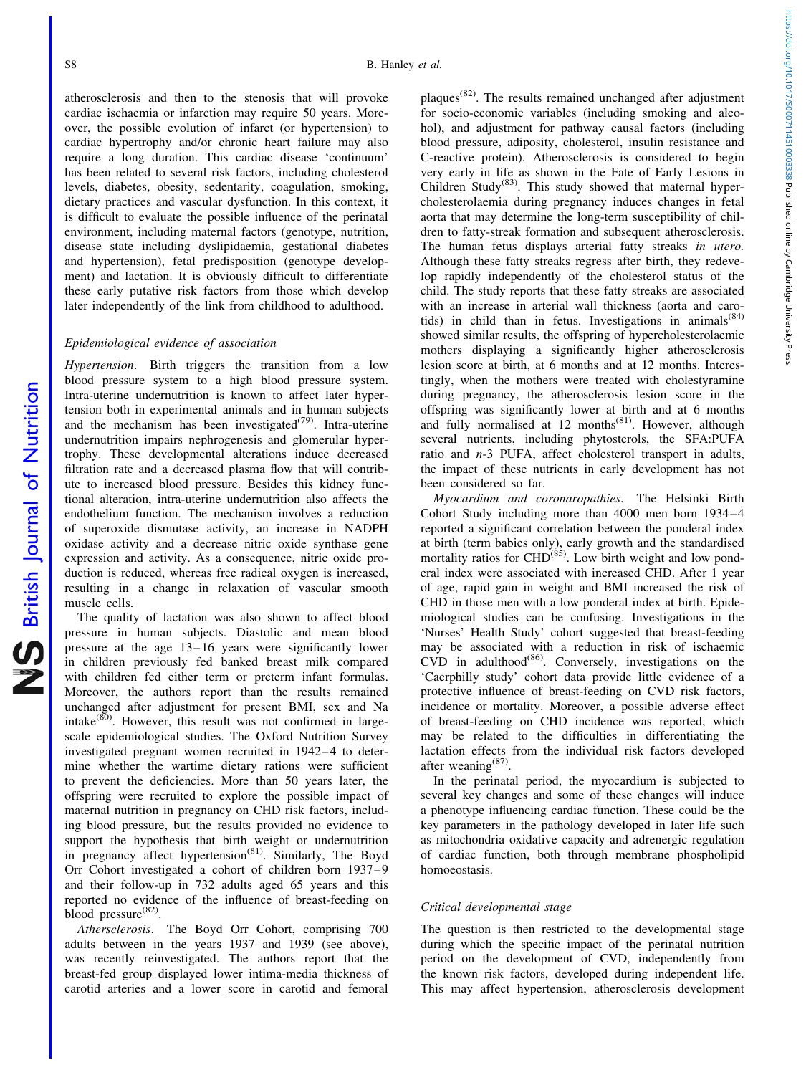British Journal of Nutrition

NS British Journal of Nutrition

atherosclerosis and then to the stenosis that will provoke cardiac ischaemia or infarction may require 50 years. Moreover, the possible evolution of infarct (or hypertension) to cardiac hypertrophy and/or chronic heart failure may also require a long duration. This cardiac disease 'continuum' has been related to several risk factors, including cholesterol levels, diabetes, obesity, sedentarity, coagulation, smoking, dietary practices and vascular dysfunction. In this context, it is difficult to evaluate the possible influence of the perinatal environment, including maternal factors (genotype, nutrition, disease state including dyslipidaemia, gestational diabetes and hypertension), fetal predisposition (genotype development) and lactation. It is obviously difficult to differentiate these early putative risk factors from those which develop later independently of the link from childhood to adulthood.

# Epidemiological evidence of association

Hypertension. Birth triggers the transition from a low blood pressure system to a high blood pressure system. Intra-uterine undernutrition is known to affect later hypertension both in experimental animals and in human subjects and the mechanism has been investigated $(79)$ . Intra-uterine undernutrition impairs nephrogenesis and glomerular hypertrophy. These developmental alterations induce decreased filtration rate and a decreased plasma flow that will contribute to increased blood pressure. Besides this kidney functional alteration, intra-uterine undernutrition also affects the endothelium function. The mechanism involves a reduction of superoxide dismutase activity, an increase in NADPH oxidase activity and a decrease nitric oxide synthase gene expression and activity. As a consequence, nitric oxide production is reduced, whereas free radical oxygen is increased, resulting in a change in relaxation of vascular smooth muscle cells.

The quality of lactation was also shown to affect blood pressure in human subjects. Diastolic and mean blood pressure at the age 13–16 years were significantly lower in children previously fed banked breast milk compared with children fed either term or preterm infant formulas. Moreover, the authors report than the results remained unchanged after adjustment for present BMI, sex and Na intake $^{(80)}$ . However, this result was not confirmed in largescale epidemiological studies. The Oxford Nutrition Survey investigated pregnant women recruited in 1942–4 to determine whether the wartime dietary rations were sufficient to prevent the deficiencies. More than 50 years later, the offspring were recruited to explore the possible impact of maternal nutrition in pregnancy on CHD risk factors, including blood pressure, but the results provided no evidence to support the hypothesis that birth weight or undernutrition in pregnancy affect hypertension<sup> $(81)$ </sup>. Similarly, The Boyd Orr Cohort investigated a cohort of children born 1937–9 and their follow-up in 732 adults aged 65 years and this reported no evidence of the influence of breast-feeding on blood pressure $^{(82)}$ .

Athersclerosis. The Boyd Orr Cohort, comprising 700 adults between in the years 1937 and 1939 (see above), was recently reinvestigated. The authors report that the breast-fed group displayed lower intima-media thickness of carotid arteries and a lower score in carotid and femoral

plaques(82). The results remained unchanged after adjustment for socio-economic variables (including smoking and alcohol), and adjustment for pathway causal factors (including blood pressure, adiposity, cholesterol, insulin resistance and C-reactive protein). Atherosclerosis is considered to begin very early in life as shown in the Fate of Early Lesions in Children Study<sup>(83)</sup>. This study showed that maternal hypercholesterolaemia during pregnancy induces changes in fetal aorta that may determine the long-term susceptibility of children to fatty-streak formation and subsequent atherosclerosis. The human fetus displays arterial fatty streaks in utero. Although these fatty streaks regress after birth, they redevelop rapidly independently of the cholesterol status of the child. The study reports that these fatty streaks are associated with an increase in arterial wall thickness (aorta and carotids) in child than in fetus. Investigations in animals<sup>(84)</sup> showed similar results, the offspring of hypercholesterolaemic mothers displaying a significantly higher atherosclerosis lesion score at birth, at 6 months and at 12 months. Interestingly, when the mothers were treated with cholestyramine during pregnancy, the atherosclerosis lesion score in the offspring was significantly lower at birth and at 6 months and fully normalised at  $12$  months<sup> $(81)$ </sup>. However, although several nutrients, including phytosterols, the SFA:PUFA ratio and n-3 PUFA, affect cholesterol transport in adults, the impact of these nutrients in early development has not been considered so far.

Myocardium and coronaropathies. The Helsinki Birth Cohort Study including more than 4000 men born 1934–4 reported a significant correlation between the ponderal index at birth (term babies only), early growth and the standardised mortality ratios for  $CHD<sup>(85)</sup>$ . Low birth weight and low ponderal index were associated with increased CHD. After 1 year of age, rapid gain in weight and BMI increased the risk of CHD in those men with a low ponderal index at birth. Epidemiological studies can be confusing. Investigations in the 'Nurses' Health Study' cohort suggested that breast-feeding may be associated with a reduction in risk of ischaemic  $CVD$  in adulthood<sup>(86)</sup>. Conversely, investigations on the 'Caerphilly study' cohort data provide little evidence of a protective influence of breast-feeding on CVD risk factors, incidence or mortality. Moreover, a possible adverse effect of breast-feeding on CHD incidence was reported, which may be related to the difficulties in differentiating the lactation effects from the individual risk factors developed after weaning<sup>(87)</sup>.

In the perinatal period, the myocardium is subjected to several key changes and some of these changes will induce a phenotype influencing cardiac function. These could be the key parameters in the pathology developed in later life such as mitochondria oxidative capacity and adrenergic regulation of cardiac function, both through membrane phospholipid homoeostasis.

## Critical developmental stage

The question is then restricted to the developmental stage during which the specific impact of the perinatal nutrition period on the development of CVD, independently from the known risk factors, developed during independent life. This may affect hypertension, atherosclerosis development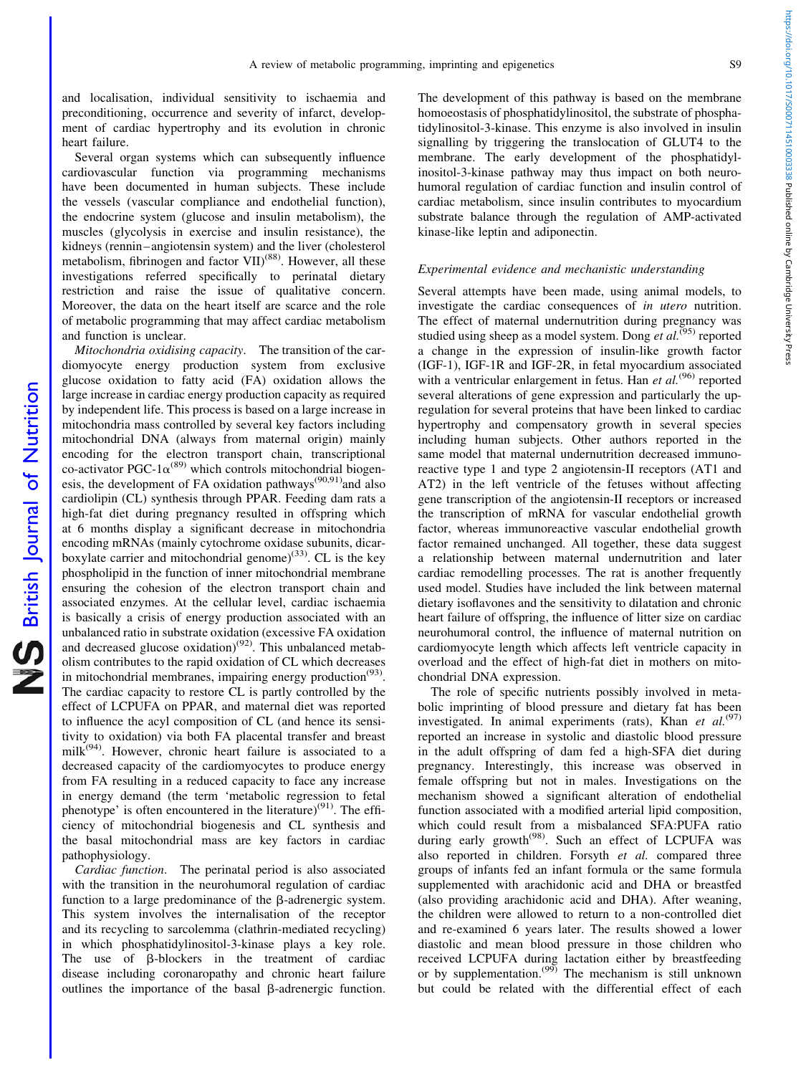and localisation, individual sensitivity to ischaemia and preconditioning, occurrence and severity of infarct, development of cardiac hypertrophy and its evolution in chronic heart failure.

Several organ systems which can subsequently influence cardiovascular function via programming mechanisms have been documented in human subjects. These include the vessels (vascular compliance and endothelial function), the endocrine system (glucose and insulin metabolism), the muscles (glycolysis in exercise and insulin resistance), the kidneys (rennin–angiotensin system) and the liver (cholesterol metabolism, fibrinogen and factor VII)<sup>(88)</sup>. However, all these investigations referred specifically to perinatal dietary restriction and raise the issue of qualitative concern. Moreover, the data on the heart itself are scarce and the role of metabolic programming that may affect cardiac metabolism and function is unclear.

Mitochondria oxidising capacity. The transition of the cardiomyocyte energy production system from exclusive glucose oxidation to fatty acid (FA) oxidation allows the large increase in cardiac energy production capacity as required by independent life. This process is based on a large increase in mitochondria mass controlled by several key factors including mitochondrial DNA (always from maternal origin) mainly encoding for the electron transport chain, transcriptional co-activator PGC-1 $\alpha^{(89)}$  which controls mitochondrial biogenesis, the development of FA oxidation pathways<sup> $(90,91)$ </sup> and also cardiolipin (CL) synthesis through PPAR. Feeding dam rats a high-fat diet during pregnancy resulted in offspring which at 6 months display a significant decrease in mitochondria encoding mRNAs (mainly cytochrome oxidase subunits, dicarboxylate carrier and mitochondrial genome) $(33)$ . CL is the key phospholipid in the function of inner mitochondrial membrane ensuring the cohesion of the electron transport chain and associated enzymes. At the cellular level, cardiac ischaemia is basically a crisis of energy production associated with an unbalanced ratio in substrate oxidation (excessive FA oxidation and decreased glucose oxidation)<sup>(92)</sup>. This unbalanced metabolism contributes to the rapid oxidation of CL which decreases in mitochondrial membranes, impairing energy production<sup> $(93)$ </sup>. The cardiac capacity to restore CL is partly controlled by the effect of LCPUFA on PPAR, and maternal diet was reported to influence the acyl composition of CL (and hence its sensitivity to oxidation) via both FA placental transfer and breast  $milk<sup>(94)</sup>$ . However, chronic heart failure is associated to a decreased capacity of the cardiomyocytes to produce energy from FA resulting in a reduced capacity to face any increase in energy demand (the term 'metabolic regression to fetal phenotype' is often encountered in the literature)<sup>(91)</sup>. The efficiency of mitochondrial biogenesis and CL synthesis and the basal mitochondrial mass are key factors in cardiac pathophysiology.

Cardiac function. The perinatal period is also associated with the transition in the neurohumoral regulation of cardiac function to a large predominance of the B-adrenergic system. This system involves the internalisation of the receptor and its recycling to sarcolemma (clathrin-mediated recycling) in which phosphatidylinositol-3-kinase plays a key role. The use of  $\beta$ -blockers in the treatment of cardiac disease including coronaropathy and chronic heart failure outlines the importance of the basal  $\beta$ -adrenergic function. The development of this pathway is based on the membrane homoeostasis of phosphatidylinositol, the substrate of phosphatidylinositol-3-kinase. This enzyme is also involved in insulin signalling by triggering the translocation of GLUT4 to the membrane. The early development of the phosphatidylinositol-3-kinase pathway may thus impact on both neurohumoral regulation of cardiac function and insulin control of cardiac metabolism, since insulin contributes to myocardium substrate balance through the regulation of AMP-activated kinase-like leptin and adiponectin.

## Experimental evidence and mechanistic understanding

Several attempts have been made, using animal models, to investigate the cardiac consequences of in utero nutrition. The effect of maternal undernutrition during pregnancy was studied using sheep as a model system. Dong *et al.*<sup>(95)</sup> reported a change in the expression of insulin-like growth factor (IGF-1), IGF-1R and IGF-2R, in fetal myocardium associated with a ventricular enlargement in fetus. Han *et al.*<sup>(96)</sup> reported several alterations of gene expression and particularly the upregulation for several proteins that have been linked to cardiac hypertrophy and compensatory growth in several species including human subjects. Other authors reported in the same model that maternal undernutrition decreased immunoreactive type 1 and type 2 angiotensin-II receptors (AT1 and AT2) in the left ventricle of the fetuses without affecting gene transcription of the angiotensin-II receptors or increased the transcription of mRNA for vascular endothelial growth factor, whereas immunoreactive vascular endothelial growth factor remained unchanged. All together, these data suggest a relationship between maternal undernutrition and later cardiac remodelling processes. The rat is another frequently used model. Studies have included the link between maternal dietary isoflavones and the sensitivity to dilatation and chronic heart failure of offspring, the influence of litter size on cardiac neurohumoral control, the influence of maternal nutrition on cardiomyocyte length which affects left ventricle capacity in overload and the effect of high-fat diet in mothers on mitochondrial DNA expression.

The role of specific nutrients possibly involved in metabolic imprinting of blood pressure and dietary fat has been investigated. In animal experiments (rats), Khan et  $al^{(97)}$ . reported an increase in systolic and diastolic blood pressure in the adult offspring of dam fed a high-SFA diet during pregnancy. Interestingly, this increase was observed in female offspring but not in males. Investigations on the mechanism showed a significant alteration of endothelial function associated with a modified arterial lipid composition, which could result from a misbalanced SFA:PUFA ratio during early growth<sup> $(98)$ </sup>. Such an effect of LCPUFA was also reported in children. Forsyth et al. compared three groups of infants fed an infant formula or the same formula supplemented with arachidonic acid and DHA or breastfed (also providing arachidonic acid and DHA). After weaning, the children were allowed to return to a non-controlled diet and re-examined 6 years later. The results showed a lower diastolic and mean blood pressure in those children who received LCPUFA during lactation either by breastfeeding or by supplementation.(99) The mechanism is still unknown but could be related with the differential effect of each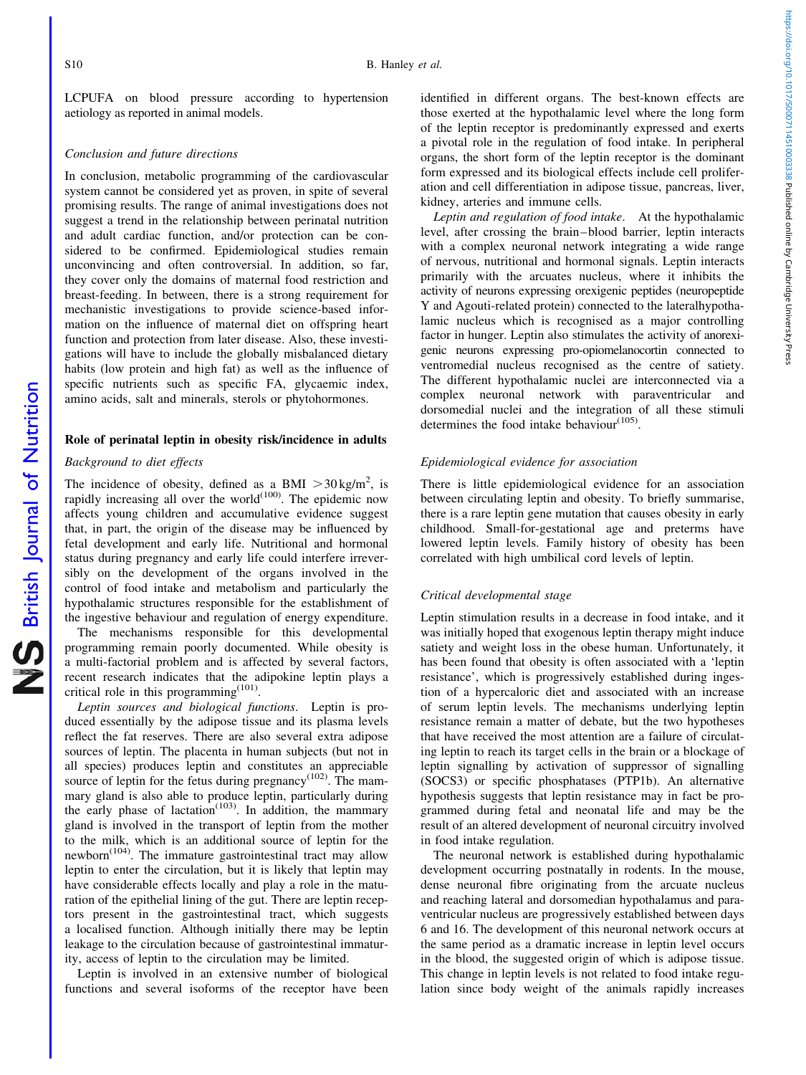LCPUFA on blood pressure according to hypertension aetiology as reported in animal models.

# Conclusion and future directions

In conclusion, metabolic programming of the cardiovascular system cannot be considered yet as proven, in spite of several promising results. The range of animal investigations does not suggest a trend in the relationship between perinatal nutrition and adult cardiac function, and/or protection can be considered to be confirmed. Epidemiological studies remain unconvincing and often controversial. In addition, so far, they cover only the domains of maternal food restriction and breast-feeding. In between, there is a strong requirement for mechanistic investigations to provide science-based information on the influence of maternal diet on offspring heart function and protection from later disease. Also, these investigations will have to include the globally misbalanced dietary habits (low protein and high fat) as well as the influence of specific nutrients such as specific FA, glycaemic index, amino acids, salt and minerals, sterols or phytohormones.

#### Role of perinatal leptin in obesity risk/incidence in adults

## Background to diet effects

The incidence of obesity, defined as a BMI  $>30 \text{ kg/m}^2$ , is rapidly increasing all over the world<sup>(100)</sup>. The epidemic now affects young children and accumulative evidence suggest that, in part, the origin of the disease may be influenced by fetal development and early life. Nutritional and hormonal status during pregnancy and early life could interfere irreversibly on the development of the organs involved in the control of food intake and metabolism and particularly the hypothalamic structures responsible for the establishment of the ingestive behaviour and regulation of energy expenditure.

The mechanisms responsible for this developmental programming remain poorly documented. While obesity is a multi-factorial problem and is affected by several factors, recent research indicates that the adipokine leptin plays a critical role in this programming<sup>(101)</sup>.

Leptin sources and biological functions. Leptin is produced essentially by the adipose tissue and its plasma levels reflect the fat reserves. There are also several extra adipose sources of leptin. The placenta in human subjects (but not in all species) produces leptin and constitutes an appreciable source of leptin for the fetus during pregnancy<sup> $(102)$ </sup>. The mammary gland is also able to produce leptin, particularly during the early phase of lactation<sup> $(103)$ </sup>. In addition, the mammary gland is involved in the transport of leptin from the mother to the milk, which is an additional source of leptin for the newborn<sup> $(104)$ </sup>. The immature gastrointestinal tract may allow leptin to enter the circulation, but it is likely that leptin may have considerable effects locally and play a role in the maturation of the epithelial lining of the gut. There are leptin receptors present in the gastrointestinal tract, which suggests a localised function. Although initially there may be leptin leakage to the circulation because of gastrointestinal immaturity, access of leptin to the circulation may be limited.

Leptin is involved in an extensive number of biological functions and several isoforms of the receptor have been identified in different organs. The best-known effects are those exerted at the hypothalamic level where the long form of the leptin receptor is predominantly expressed and exerts a pivotal role in the regulation of food intake. In peripheral organs, the short form of the leptin receptor is the dominant form expressed and its biological effects include cell proliferation and cell differentiation in adipose tissue, pancreas, liver, kidney, arteries and immune cells.

Leptin and regulation of food intake. At the hypothalamic level, after crossing the brain–blood barrier, leptin interacts with a complex neuronal network integrating a wide range of nervous, nutritional and hormonal signals. Leptin interacts primarily with the arcuates nucleus, where it inhibits the activity of neurons expressing orexigenic peptides (neuropeptide Y and Agouti-related protein) connected to the lateralhypothalamic nucleus which is recognised as a major controlling factor in hunger. Leptin also stimulates the activity of anorexigenic neurons expressing pro-opiomelanocortin connected to ventromedial nucleus recognised as the centre of satiety. The different hypothalamic nuclei are interconnected via a complex neuronal network with paraventricular and dorsomedial nuclei and the integration of all these stimuli determines the food intake behaviour $(105)$ .

#### Epidemiological evidence for association

There is little epidemiological evidence for an association between circulating leptin and obesity. To briefly summarise, there is a rare leptin gene mutation that causes obesity in early childhood. Small-for-gestational age and preterms have lowered leptin levels. Family history of obesity has been correlated with high umbilical cord levels of leptin.

# Critical developmental stage

Leptin stimulation results in a decrease in food intake, and it was initially hoped that exogenous leptin therapy might induce satiety and weight loss in the obese human. Unfortunately, it has been found that obesity is often associated with a 'leptin resistance', which is progressively established during ingestion of a hypercaloric diet and associated with an increase of serum leptin levels. The mechanisms underlying leptin resistance remain a matter of debate, but the two hypotheses that have received the most attention are a failure of circulating leptin to reach its target cells in the brain or a blockage of leptin signalling by activation of suppressor of signalling (SOCS3) or specific phosphatases (PTP1b). An alternative hypothesis suggests that leptin resistance may in fact be programmed during fetal and neonatal life and may be the result of an altered development of neuronal circuitry involved in food intake regulation.

The neuronal network is established during hypothalamic development occurring postnatally in rodents. In the mouse, dense neuronal fibre originating from the arcuate nucleus and reaching lateral and dorsomedian hypothalamus and paraventricular nucleus are progressively established between days 6 and 16. The development of this neuronal network occurs at the same period as a dramatic increase in leptin level occurs in the blood, the suggested origin of which is adipose tissue. This change in leptin levels is not related to food intake regulation since body weight of the animals rapidly increases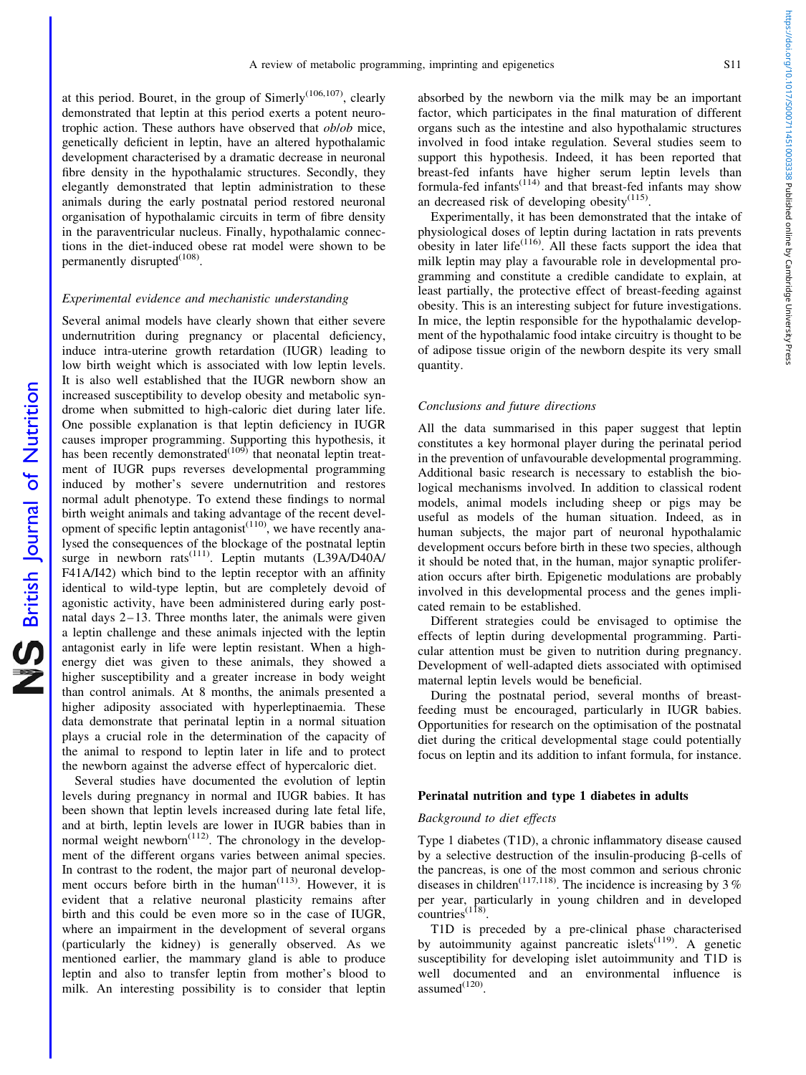at this period. Bouret, in the group of  $Similarly<sup>(106,107)</sup>$ , clearly demonstrated that leptin at this period exerts a potent neurotrophic action. These authors have observed that ob/ob mice, genetically deficient in leptin, have an altered hypothalamic development characterised by a dramatic decrease in neuronal fibre density in the hypothalamic structures. Secondly, they elegantly demonstrated that leptin administration to these animals during the early postnatal period restored neuronal organisation of hypothalamic circuits in term of fibre density in the paraventricular nucleus. Finally, hypothalamic connections in the diet-induced obese rat model were shown to be permanently disrupted<sup>(108)</sup>.

## Experimental evidence and mechanistic understanding

Several animal models have clearly shown that either severe undernutrition during pregnancy or placental deficiency, induce intra-uterine growth retardation (IUGR) leading to low birth weight which is associated with low leptin levels. It is also well established that the IUGR newborn show an increased susceptibility to develop obesity and metabolic syndrome when submitted to high-caloric diet during later life. One possible explanation is that leptin deficiency in IUGR causes improper programming. Supporting this hypothesis, it has been recently demonstrated $(109)$  that neonatal leptin treatment of IUGR pups reverses developmental programming induced by mother's severe undernutrition and restores normal adult phenotype. To extend these findings to normal birth weight animals and taking advantage of the recent development of specific leptin antagonist<sup> $(110)$ </sup>, we have recently analysed the consequences of the blockage of the postnatal leptin surge in newborn rats<sup> $(111)$ </sup>. Leptin mutants  $(L39A/D40A/$ F41A/I42) which bind to the leptin receptor with an affinity identical to wild-type leptin, but are completely devoid of agonistic activity, have been administered during early postnatal days 2–13. Three months later, the animals were given a leptin challenge and these animals injected with the leptin antagonist early in life were leptin resistant. When a highenergy diet was given to these animals, they showed a higher susceptibility and a greater increase in body weight than control animals. At 8 months, the animals presented a higher adiposity associated with hyperleptinaemia. These data demonstrate that perinatal leptin in a normal situation plays a crucial role in the determination of the capacity of the animal to respond to leptin later in life and to protect the newborn against the adverse effect of hypercaloric diet.

Several studies have documented the evolution of leptin levels during pregnancy in normal and IUGR babies. It has been shown that leptin levels increased during late fetal life, and at birth, leptin levels are lower in IUGR babies than in normal weight newborn<sup> $(112)$ </sup>. The chronology in the development of the different organs varies between animal species. In contrast to the rodent, the major part of neuronal development occurs before birth in the human $(113)$ . However, it is evident that a relative neuronal plasticity remains after birth and this could be even more so in the case of IUGR, where an impairment in the development of several organs (particularly the kidney) is generally observed. As we mentioned earlier, the mammary gland is able to produce leptin and also to transfer leptin from mother's blood to milk. An interesting possibility is to consider that leptin absorbed by the newborn via the milk may be an important factor, which participates in the final maturation of different organs such as the intestine and also hypothalamic structures involved in food intake regulation. Several studies seem to support this hypothesis. Indeed, it has been reported that breast-fed infants have higher serum leptin levels than formula-fed infants $(114)$  and that breast-fed infants may show an decreased risk of developing obesity $(115)$ .

Experimentally, it has been demonstrated that the intake of physiological doses of leptin during lactation in rats prevents obesity in later life<sup> $(116)$ </sup>. All these facts support the idea that milk leptin may play a favourable role in developmental programming and constitute a credible candidate to explain, at least partially, the protective effect of breast-feeding against obesity. This is an interesting subject for future investigations. In mice, the leptin responsible for the hypothalamic development of the hypothalamic food intake circuitry is thought to be of adipose tissue origin of the newborn despite its very small quantity.

# Conclusions and future directions

All the data summarised in this paper suggest that leptin constitutes a key hormonal player during the perinatal period in the prevention of unfavourable developmental programming. Additional basic research is necessary to establish the biological mechanisms involved. In addition to classical rodent models, animal models including sheep or pigs may be useful as models of the human situation. Indeed, as in human subjects, the major part of neuronal hypothalamic development occurs before birth in these two species, although it should be noted that, in the human, major synaptic proliferation occurs after birth. Epigenetic modulations are probably involved in this developmental process and the genes implicated remain to be established.

Different strategies could be envisaged to optimise the effects of leptin during developmental programming. Particular attention must be given to nutrition during pregnancy. Development of well-adapted diets associated with optimised maternal leptin levels would be beneficial.

During the postnatal period, several months of breastfeeding must be encouraged, particularly in IUGR babies. Opportunities for research on the optimisation of the postnatal diet during the critical developmental stage could potentially focus on leptin and its addition to infant formula, for instance.

#### Perinatal nutrition and type 1 diabetes in adults

### Background to diet effects

Type 1 diabetes (T1D), a chronic inflammatory disease caused by a selective destruction of the insulin-producing  $\beta$ -cells of the pancreas, is one of the most common and serious chronic diseases in children<sup>(117,118)</sup>. The incidence is increasing by 3 % per year, particularly in young children and in developed  $countries$ <sup>(118)</sup>

T1D is preceded by a pre-clinical phase characterised by autoimmunity against pancreatic islets<sup> $(119)$ </sup>. A genetic susceptibility for developing islet autoimmunity and T1D is well documented and an environmental influence is assumed $^{(120)}$ .

https://doi.org/10.1017/S0007114510003338 Published online by Cambridge University Pres https://doi.org/10.1017/S0007114510003338 Published online by Cambridge University Press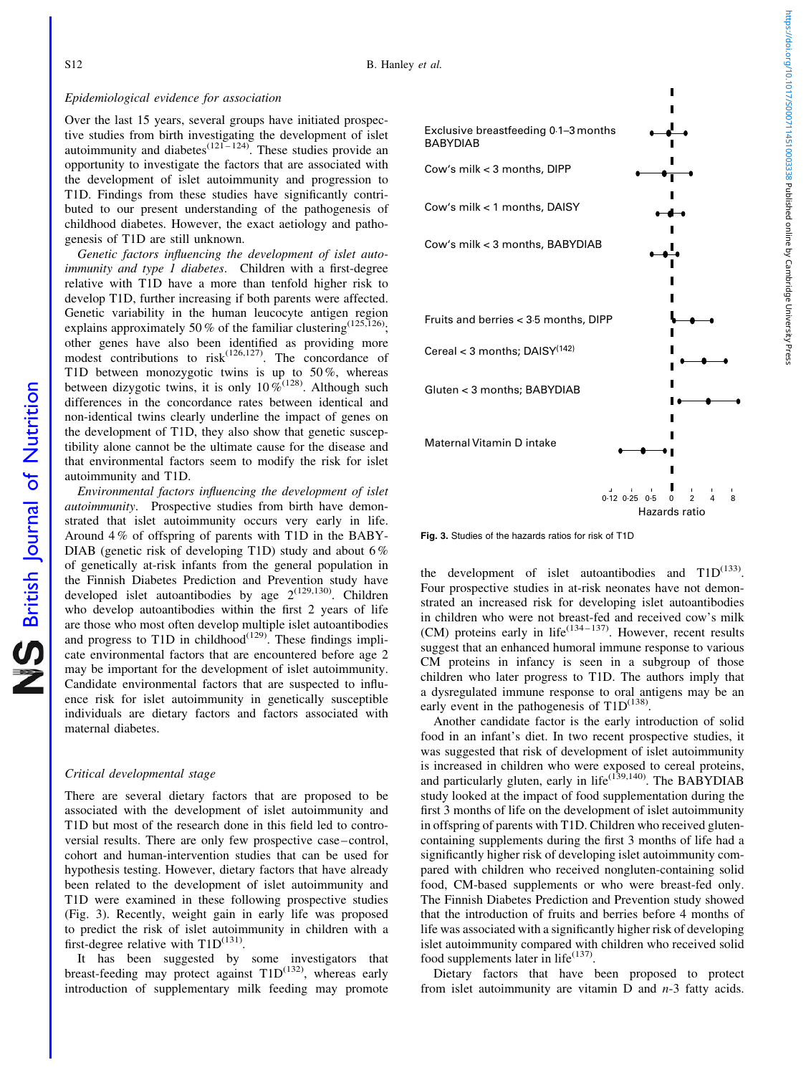### Epidemiological evidence for association

Over the last 15 years, several groups have initiated prospective studies from birth investigating the development of islet autoimmunity and diabetes<sup> $(121-124)$ </sup>. These studies provide an opportunity to investigate the factors that are associated with the development of islet autoimmunity and progression to T1D. Findings from these studies have significantly contributed to our present understanding of the pathogenesis of childhood diabetes. However, the exact aetiology and pathogenesis of T1D are still unknown.

Genetic factors influencing the development of islet autoimmunity and type 1 diabetes. Children with a first-degree relative with T1D have a more than tenfold higher risk to develop T1D, further increasing if both parents were affected. Genetic variability in the human leucocyte antigen region explains approximately 50 % of the familiar clustering<sup> $(125,126)$ </sup>; other genes have also been identified as providing more modest contributions to risk $(126,127)$ . The concordance of T1D between monozygotic twins is up to 50%, whereas between dizygotic twins, it is only  $10\%^{(128)}$ . Although such differences in the concordance rates between identical and non-identical twins clearly underline the impact of genes on the development of T1D, they also show that genetic susceptibility alone cannot be the ultimate cause for the disease and that environmental factors seem to modify the risk for islet autoimmunity and T1D.

Environmental factors influencing the development of islet autoimmunity. Prospective studies from birth have demonstrated that islet autoimmunity occurs very early in life. Around 4 % of offspring of parents with T1D in the BABY-DIAB (genetic risk of developing T1D) study and about 6% of genetically at-risk infants from the general population in the Finnish Diabetes Prediction and Prevention study have developed islet autoantibodies by age  $2^{(129,130)}$ . Children who develop autoantibodies within the first 2 years of life are those who most often develop multiple islet autoantibodies and progress to T1D in childhood<sup> $(129)$ </sup>. These findings implicate environmental factors that are encountered before age 2 may be important for the development of islet autoimmunity. Candidate environmental factors that are suspected to influence risk for islet autoimmunity in genetically susceptible individuals are dietary factors and factors associated with maternal diabetes.

## Critical developmental stage

There are several dietary factors that are proposed to be associated with the development of islet autoimmunity and T1D but most of the research done in this field led to controversial results. There are only few prospective case–control, cohort and human-intervention studies that can be used for hypothesis testing. However, dietary factors that have already been related to the development of islet autoimmunity and T1D were examined in these following prospective studies (Fig. 3). Recently, weight gain in early life was proposed to predict the risk of islet autoimmunity in children with a first-degree relative with  $T1D^{(131)}$ .

It has been suggested by some investigators that breast-feeding may protect against  $T1D^{(132)}$ , whereas early introduction of supplementary milk feeding may promote



Fig. 3. Studies of the hazards ratios for risk of T1D

the development of islet autoantibodies and  $T1D^{(133)}$ . Four prospective studies in at-risk neonates have not demonstrated an increased risk for developing islet autoantibodies in children who were not breast-fed and received cow's milk (CM) proteins early in life<sup> $(134-137)$ </sup>. However, recent results suggest that an enhanced humoral immune response to various CM proteins in infancy is seen in a subgroup of those children who later progress to T1D. The authors imply that a dysregulated immune response to oral antigens may be an early event in the pathogenesis of  $T1D^{(138)}$ .

Another candidate factor is the early introduction of solid food in an infant's diet. In two recent prospective studies, it was suggested that risk of development of islet autoimmunity is increased in children who were exposed to cereal proteins, and particularly gluten, early in life<sup> $(139,140)$ </sup>. The BABYDIAB study looked at the impact of food supplementation during the first 3 months of life on the development of islet autoimmunity in offspring of parents with T1D. Children who received glutencontaining supplements during the first 3 months of life had a significantly higher risk of developing islet autoimmunity compared with children who received nongluten-containing solid food, CM-based supplements or who were breast-fed only. The Finnish Diabetes Prediction and Prevention study showed that the introduction of fruits and berries before 4 months of life was associated with a significantly higher risk of developing islet autoimmunity compared with children who received solid food supplements later in life $^{(137)}$ .

Dietary factors that have been proposed to protect from islet autoimmunity are vitamin  $D$  and  $n-3$  fatty acids.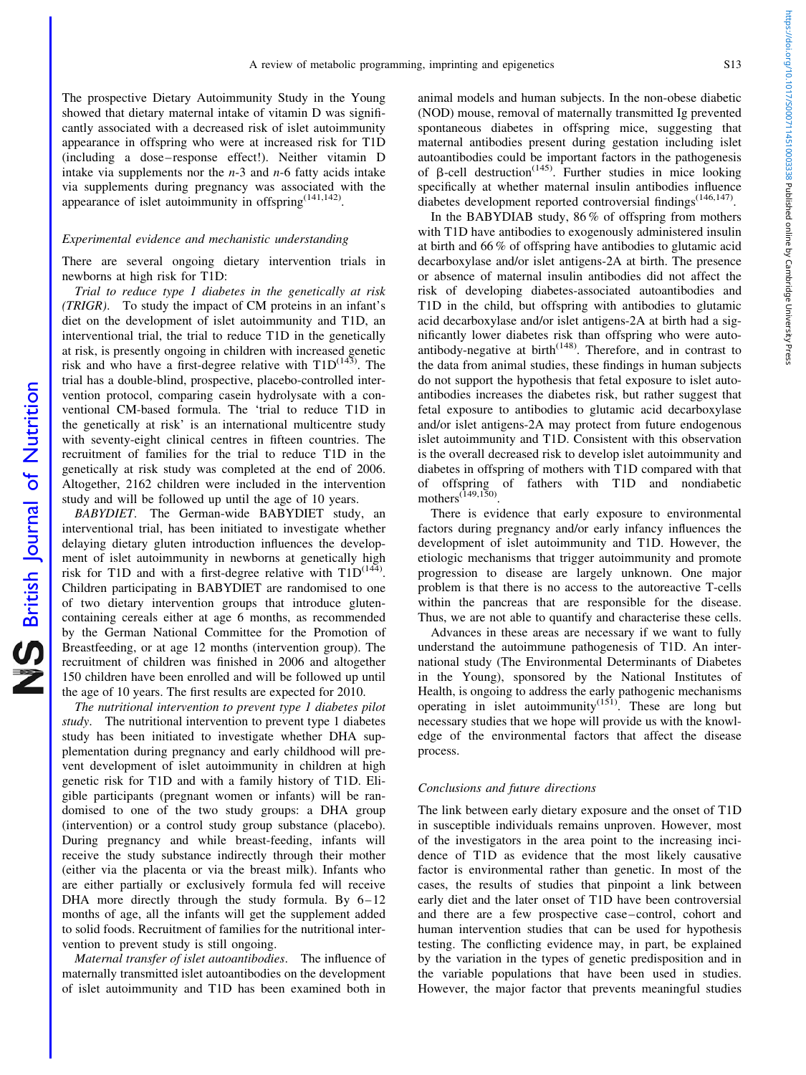The prospective Dietary Autoimmunity Study in the Young showed that dietary maternal intake of vitamin D was significantly associated with a decreased risk of islet autoimmunity appearance in offspring who were at increased risk for T1D (including a dose–response effect!). Neither vitamin D intake via supplements nor the  $n-3$  and  $n-6$  fatty acids intake via supplements during pregnancy was associated with the appearance of islet autoimmunity in offspring<sup> $(141,142)$ </sup>.

#### Experimental evidence and mechanistic understanding

There are several ongoing dietary intervention trials in newborns at high risk for T1D:

Trial to reduce type 1 diabetes in the genetically at risk (TRIGR). To study the impact of CM proteins in an infant's diet on the development of islet autoimmunity and T1D, an interventional trial, the trial to reduce T1D in the genetically at risk, is presently ongoing in children with increased genetic risk and who have a first-degree relative with  $T1D^{(143)}$ . The trial has a double-blind, prospective, placebo-controlled intervention protocol, comparing casein hydrolysate with a conventional CM-based formula. The 'trial to reduce T1D in the genetically at risk' is an international multicentre study with seventy-eight clinical centres in fifteen countries. The recruitment of families for the trial to reduce T1D in the genetically at risk study was completed at the end of 2006. Altogether, 2162 children were included in the intervention study and will be followed up until the age of 10 years.

BABYDIET. The German-wide BABYDIET study, an interventional trial, has been initiated to investigate whether delaying dietary gluten introduction influences the development of islet autoimmunity in newborns at genetically high risk for T1D and with a first-degree relative with  $T1D^{(144)}$ . Children participating in BABYDIET are randomised to one of two dietary intervention groups that introduce glutencontaining cereals either at age 6 months, as recommended by the German National Committee for the Promotion of Breastfeeding, or at age 12 months (intervention group). The recruitment of children was finished in 2006 and altogether 150 children have been enrolled and will be followed up until the age of 10 years. The first results are expected for 2010.

The nutritional intervention to prevent type 1 diabetes pilot study. The nutritional intervention to prevent type 1 diabetes study has been initiated to investigate whether DHA supplementation during pregnancy and early childhood will prevent development of islet autoimmunity in children at high genetic risk for T1D and with a family history of T1D. Eligible participants (pregnant women or infants) will be randomised to one of the two study groups: a DHA group (intervention) or a control study group substance (placebo). During pregnancy and while breast-feeding, infants will receive the study substance indirectly through their mother (either via the placenta or via the breast milk). Infants who are either partially or exclusively formula fed will receive DHA more directly through the study formula. By 6–12 months of age, all the infants will get the supplement added to solid foods. Recruitment of families for the nutritional intervention to prevent study is still ongoing.

Maternal transfer of islet autoantibodies. The influence of maternally transmitted islet autoantibodies on the development of islet autoimmunity and T1D has been examined both in animal models and human subjects. In the non-obese diabetic (NOD) mouse, removal of maternally transmitted Ig prevented spontaneous diabetes in offspring mice, suggesting that maternal antibodies present during gestation including islet autoantibodies could be important factors in the pathogenesis of  $\beta$ -cell destruction<sup>(145)</sup>. Further studies in mice looking specifically at whether maternal insulin antibodies influence diabetes development reported controversial findings(146,147).

In the BABYDIAB study, 86 % of offspring from mothers with T1D have antibodies to exogenously administered insulin at birth and 66 % of offspring have antibodies to glutamic acid decarboxylase and/or islet antigens-2A at birth. The presence or absence of maternal insulin antibodies did not affect the risk of developing diabetes-associated autoantibodies and T1D in the child, but offspring with antibodies to glutamic acid decarboxylase and/or islet antigens-2A at birth had a significantly lower diabetes risk than offspring who were autoantibody-negative at birth<sup> $(148)$ </sup>. Therefore, and in contrast to the data from animal studies, these findings in human subjects do not support the hypothesis that fetal exposure to islet autoantibodies increases the diabetes risk, but rather suggest that fetal exposure to antibodies to glutamic acid decarboxylase and/or islet antigens-2A may protect from future endogenous islet autoimmunity and T1D. Consistent with this observation is the overall decreased risk to develop islet autoimmunity and diabetes in offspring of mothers with T1D compared with that of offspring of fathers with T1D and nondiabetic mothers $\overbrace{(149,150)}^{1115}$ 

There is evidence that early exposure to environmental factors during pregnancy and/or early infancy influences the development of islet autoimmunity and T1D. However, the etiologic mechanisms that trigger autoimmunity and promote progression to disease are largely unknown. One major problem is that there is no access to the autoreactive T-cells within the pancreas that are responsible for the disease. Thus, we are not able to quantify and characterise these cells.

Advances in these areas are necessary if we want to fully understand the autoimmune pathogenesis of T1D. An international study (The Environmental Determinants of Diabetes in the Young), sponsored by the National Institutes of Health, is ongoing to address the early pathogenic mechanisms operating in islet autoimmunity<sup> $(151)$ </sup>. These are long but necessary studies that we hope will provide us with the knowledge of the environmental factors that affect the disease process.

## Conclusions and future directions

The link between early dietary exposure and the onset of T1D in susceptible individuals remains unproven. However, most of the investigators in the area point to the increasing incidence of T1D as evidence that the most likely causative factor is environmental rather than genetic. In most of the cases, the results of studies that pinpoint a link between early diet and the later onset of T1D have been controversial and there are a few prospective case–control, cohort and human intervention studies that can be used for hypothesis testing. The conflicting evidence may, in part, be explained by the variation in the types of genetic predisposition and in the variable populations that have been used in studies. However, the major factor that prevents meaningful studies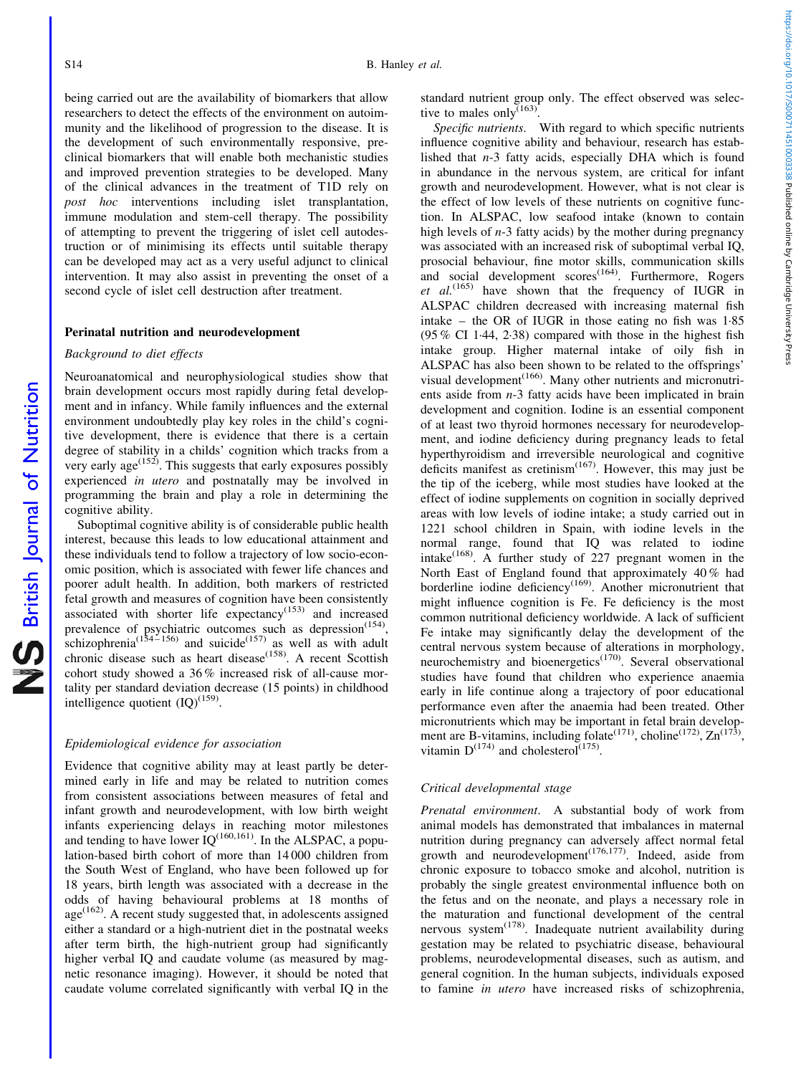being carried out are the availability of biomarkers that allow researchers to detect the effects of the environment on autoimmunity and the likelihood of progression to the disease. It is the development of such environmentally responsive, preclinical biomarkers that will enable both mechanistic studies and improved prevention strategies to be developed. Many of the clinical advances in the treatment of T1D rely on post hoc interventions including islet transplantation, immune modulation and stem-cell therapy. The possibility of attempting to prevent the triggering of islet cell autodestruction or of minimising its effects until suitable therapy can be developed may act as a very useful adjunct to clinical intervention. It may also assist in preventing the onset of a second cycle of islet cell destruction after treatment.

#### Perinatal nutrition and neurodevelopment

#### Background to diet effects

Neuroanatomical and neurophysiological studies show that brain development occurs most rapidly during fetal development and in infancy. While family influences and the external environment undoubtedly play key roles in the child's cognitive development, there is evidence that there is a certain degree of stability in a childs' cognition which tracks from a very early age<sup> $(152)$ </sup>. This suggests that early exposures possibly experienced in utero and postnatally may be involved in programming the brain and play a role in determining the cognitive ability.

Suboptimal cognitive ability is of considerable public health interest, because this leads to low educational attainment and these individuals tend to follow a trajectory of low socio-economic position, which is associated with fewer life chances and poorer adult health. In addition, both markers of restricted fetal growth and measures of cognition have been consistently associated with shorter life  $expctancy<sup>(153)</sup>$  and increased prevalence of psychiatric outcomes such as depression<sup>(154)</sup>, schizophrenia<sup>(154-156)</sup> and suicide<sup>(157)</sup> as well as with adult chronic disease such as heart disease<sup>(158)</sup>. A recent Scottish cohort study showed a 36 % increased risk of all-cause mortality per standard deviation decrease (15 points) in childhood intelligence quotient  $(IO)^{(159)}$ .

#### Epidemiological evidence for association

Evidence that cognitive ability may at least partly be determined early in life and may be related to nutrition comes from consistent associations between measures of fetal and infant growth and neurodevelopment, with low birth weight infants experiencing delays in reaching motor milestones and tending to have lower  $IQ^{(160,161)}$ . In the ALSPAC, a population-based birth cohort of more than 14 000 children from the South West of England, who have been followed up for 18 years, birth length was associated with a decrease in the odds of having behavioural problems at 18 months of  $age^{(162)}$ . A recent study suggested that, in adolescents assigned either a standard or a high-nutrient diet in the postnatal weeks after term birth, the high-nutrient group had significantly higher verbal IQ and caudate volume (as measured by magnetic resonance imaging). However, it should be noted that caudate volume correlated significantly with verbal IQ in the standard nutrient group only. The effect observed was selective to males only $^{(163)}$ .

Specific nutrients. With regard to which specific nutrients influence cognitive ability and behaviour, research has established that n-3 fatty acids, especially DHA which is found in abundance in the nervous system, are critical for infant growth and neurodevelopment. However, what is not clear is the effect of low levels of these nutrients on cognitive function. In ALSPAC, low seafood intake (known to contain high levels of  $n-3$  fatty acids) by the mother during pregnancy was associated with an increased risk of suboptimal verbal IQ, prosocial behaviour, fine motor skills, communication skills and social development scores<sup>(164)</sup>. Furthermore, Rogers et al.<sup>(165)</sup> have shown that the frequency of IUGR in ALSPAC children decreased with increasing maternal fish intake – the OR of IUGR in those eating no fish was 1·85 (95 % CI 1·44, 2·38) compared with those in the highest fish intake group. Higher maternal intake of oily fish in ALSPAC has also been shown to be related to the offsprings' visual development<sup> $(166)$ </sup>. Many other nutrients and micronutrients aside from n-3 fatty acids have been implicated in brain development and cognition. Iodine is an essential component of at least two thyroid hormones necessary for neurodevelopment, and iodine deficiency during pregnancy leads to fetal hyperthyroidism and irreversible neurological and cognitive deficits manifest as cretinism $(167)$ . However, this may just be the tip of the iceberg, while most studies have looked at the effect of iodine supplements on cognition in socially deprived areas with low levels of iodine intake; a study carried out in 1221 school children in Spain, with iodine levels in the normal range, found that IQ was related to iodine intake $^{(168)}$ . A further study of 227 pregnant women in the North East of England found that approximately 40 % had borderline iodine deficiency<sup> $(169)$ </sup>. Another micronutrient that might influence cognition is Fe. Fe deficiency is the most common nutritional deficiency worldwide. A lack of sufficient Fe intake may significantly delay the development of the central nervous system because of alterations in morphology, neurochemistry and bioenergetics<sup>(170)</sup>. Several observational studies have found that children who experience anaemia early in life continue along a trajectory of poor educational performance even after the anaemia had been treated. Other micronutrients which may be important in fetal brain development are B-vitamins, including folate<sup>(171)</sup>, choline<sup>(172)</sup>,  $\text{Zn}^{(173)}$ , vitamin  $D^{(174)}$  and cholesterol<sup>(175)</sup>.

# Critical developmental stage

Prenatal environment. A substantial body of work from animal models has demonstrated that imbalances in maternal nutrition during pregnancy can adversely affect normal fetal growth and neurodevelopment<sup> $(176,177)$ </sup>. Indeed, aside from chronic exposure to tobacco smoke and alcohol, nutrition is probably the single greatest environmental influence both on the fetus and on the neonate, and plays a necessary role in the maturation and functional development of the central nervous system<sup>(178)</sup>. Inadequate nutrient availability during gestation may be related to psychiatric disease, behavioural problems, neurodevelopmental diseases, such as autism, and general cognition. In the human subjects, individuals exposed to famine in utero have increased risks of schizophrenia,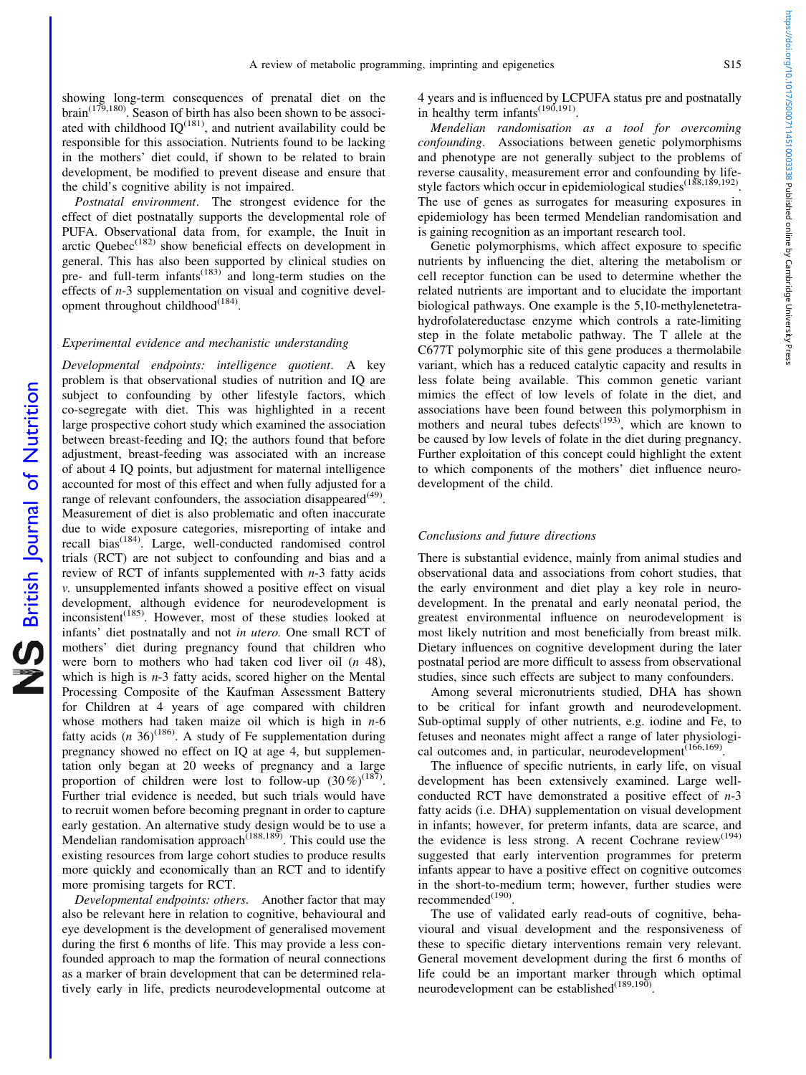showing long-term consequences of prenatal diet on the brain<sup>(179,180)</sup>. Season of birth has also been shown to be associated with childhood  $IQ^{(181)}$ , and nutrient availability could be responsible for this association. Nutrients found to be lacking in the mothers' diet could, if shown to be related to brain development, be modified to prevent disease and ensure that the child's cognitive ability is not impaired.

Postnatal environment. The strongest evidence for the effect of diet postnatally supports the developmental role of PUFA. Observational data from, for example, the Inuit in arctic Quebec<sup> $(182)$ </sup> show beneficial effects on development in general. This has also been supported by clinical studies on pre- and full-term infants<sup> $(183)$ </sup> and long-term studies on the effects of  $n-3$  supplementation on visual and cognitive development throughout childhood<sup>(184)</sup>.

#### Experimental evidence and mechanistic understanding

Developmental endpoints: intelligence quotient. A key problem is that observational studies of nutrition and IQ are subject to confounding by other lifestyle factors, which co-segregate with diet. This was highlighted in a recent large prospective cohort study which examined the association between breast-feeding and IQ; the authors found that before adjustment, breast-feeding was associated with an increase of about 4 IQ points, but adjustment for maternal intelligence accounted for most of this effect and when fully adjusted for a range of relevant confounders, the association disappeared<sup> $(49)$ </sup>. Measurement of diet is also problematic and often inaccurate due to wide exposure categories, misreporting of intake and recall bias(184). Large, well-conducted randomised control trials (RCT) are not subject to confounding and bias and a review of RCT of infants supplemented with  $n-3$  fatty acids v. unsupplemented infants showed a positive effect on visual development, although evidence for neurodevelopment is inconsistent<sup>(185)</sup>. However, most of these studies looked at infants' diet postnatally and not in utero. One small RCT of mothers' diet during pregnancy found that children who were born to mothers who had taken cod liver oil  $(n \ 48)$ , which is high is  $n-3$  fatty acids, scored higher on the Mental Processing Composite of the Kaufman Assessment Battery for Children at 4 years of age compared with children whose mothers had taken maize oil which is high in  $n-6$ fatty acids (n  $36$ )<sup>(186)</sup>. A study of Fe supplementation during pregnancy showed no effect on IQ at age 4, but supplementation only began at 20 weeks of pregnancy and a large proportion of children were lost to follow-up  $(30\%)^{(187)}$ . Further trial evidence is needed, but such trials would have to recruit women before becoming pregnant in order to capture early gestation. An alternative study design would be to use a Mendelian randomisation approach<sup> $(188,189)$ </sup>. This could use the existing resources from large cohort studies to produce results more quickly and economically than an RCT and to identify more promising targets for RCT.

Developmental endpoints: others. Another factor that may also be relevant here in relation to cognitive, behavioural and eye development is the development of generalised movement during the first 6 months of life. This may provide a less confounded approach to map the formation of neural connections as a marker of brain development that can be determined relatively early in life, predicts neurodevelopmental outcome at 4 years and is influenced by LCPUFA status pre and postnatally in healthy term infants<sup> $(190,191)$ </sup>.

Mendelian randomisation as a tool for overcoming confounding. Associations between genetic polymorphisms and phenotype are not generally subject to the problems of reverse causality, measurement error and confounding by lifestyle factors which occur in epidemiological studies<sup> $(188,189,192)$ </sup>. The use of genes as surrogates for measuring exposures in epidemiology has been termed Mendelian randomisation and is gaining recognition as an important research tool.

Genetic polymorphisms, which affect exposure to specific nutrients by influencing the diet, altering the metabolism or cell receptor function can be used to determine whether the related nutrients are important and to elucidate the important biological pathways. One example is the 5,10-methylenetetrahydrofolatereductase enzyme which controls a rate-limiting step in the folate metabolic pathway. The T allele at the C677T polymorphic site of this gene produces a thermolabile variant, which has a reduced catalytic capacity and results in less folate being available. This common genetic variant mimics the effect of low levels of folate in the diet, and associations have been found between this polymorphism in mothers and neural tubes defects<sup> $(193)$ </sup>, which are known to be caused by low levels of folate in the diet during pregnancy. Further exploitation of this concept could highlight the extent to which components of the mothers' diet influence neurodevelopment of the child.

#### Conclusions and future directions

There is substantial evidence, mainly from animal studies and observational data and associations from cohort studies, that the early environment and diet play a key role in neurodevelopment. In the prenatal and early neonatal period, the greatest environmental influence on neurodevelopment is most likely nutrition and most beneficially from breast milk. Dietary influences on cognitive development during the later postnatal period are more difficult to assess from observational studies, since such effects are subject to many confounders.

Among several micronutrients studied, DHA has shown to be critical for infant growth and neurodevelopment. Sub-optimal supply of other nutrients, e.g. iodine and Fe, to fetuses and neonates might affect a range of later physiological outcomes and, in particular, neurodevelopment $(166, 169)$ .

The influence of specific nutrients, in early life, on visual development has been extensively examined. Large wellconducted RCT have demonstrated a positive effect of  $n-3$ fatty acids (i.e. DHA) supplementation on visual development in infants; however, for preterm infants, data are scarce, and the evidence is less strong. A recent Cochrane review<sup>(194)</sup> suggested that early intervention programmes for preterm infants appear to have a positive effect on cognitive outcomes in the short-to-medium term; however, further studies were recommended<sup>(190)</sup>.

The use of validated early read-outs of cognitive, behavioural and visual development and the responsiveness of these to specific dietary interventions remain very relevant. General movement development during the first 6 months of life could be an important marker through which optimal neurodevelopment can be established $^{(189,190)}$ .

https://doi.org/10.1017/S0007114510003338 Published online by Cambridge University Pres https://doi.org/10.1017/S0007114510003338 Published online by Cambridge University Press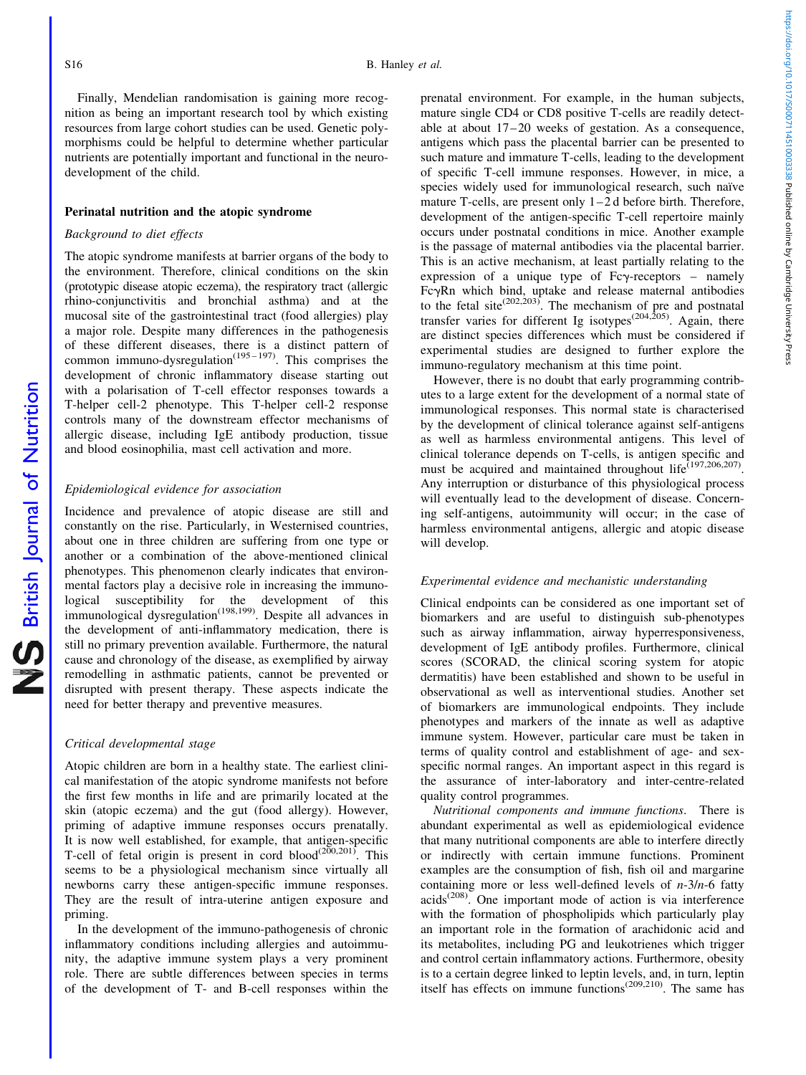Finally, Mendelian randomisation is gaining more recognition as being an important research tool by which existing resources from large cohort studies can be used. Genetic polymorphisms could be helpful to determine whether particular nutrients are potentially important and functional in the neurodevelopment of the child.

# Perinatal nutrition and the atopic syndrome

## Background to diet effects

The atopic syndrome manifests at barrier organs of the body to the environment. Therefore, clinical conditions on the skin (prototypic disease atopic eczema), the respiratory tract (allergic rhino-conjunctivitis and bronchial asthma) and at the mucosal site of the gastrointestinal tract (food allergies) play a major role. Despite many differences in the pathogenesis of these different diseases, there is a distinct pattern of common immuno-dysregulation<sup> $(195-197)$ </sup>. This comprises the development of chronic inflammatory disease starting out with a polarisation of T-cell effector responses towards a T-helper cell-2 phenotype. This T-helper cell-2 response controls many of the downstream effector mechanisms of allergic disease, including IgE antibody production, tissue and blood eosinophilia, mast cell activation and more.

#### Epidemiological evidence for association

Incidence and prevalence of atopic disease are still and constantly on the rise. Particularly, in Westernised countries, about one in three children are suffering from one type or another or a combination of the above-mentioned clinical phenotypes. This phenomenon clearly indicates that environmental factors play a decisive role in increasing the immunological susceptibility for the development of this immunological dysregulation<sup>(198,199)</sup>. Despite all advances in the development of anti-inflammatory medication, there is still no primary prevention available. Furthermore, the natural cause and chronology of the disease, as exemplified by airway remodelling in asthmatic patients, cannot be prevented or disrupted with present therapy. These aspects indicate the need for better therapy and preventive measures.

#### Critical developmental stage

Atopic children are born in a healthy state. The earliest clinical manifestation of the atopic syndrome manifests not before the first few months in life and are primarily located at the skin (atopic eczema) and the gut (food allergy). However, priming of adaptive immune responses occurs prenatally. It is now well established, for example, that antigen-specific T-cell of fetal origin is present in cord blood<sup>(200,201)</sup>. This seems to be a physiological mechanism since virtually all newborns carry these antigen-specific immune responses. They are the result of intra-uterine antigen exposure and priming.

In the development of the immuno-pathogenesis of chronic inflammatory conditions including allergies and autoimmunity, the adaptive immune system plays a very prominent role. There are subtle differences between species in terms of the development of T- and B-cell responses within the

prenatal environment. For example, in the human subjects, mature single CD4 or CD8 positive T-cells are readily detectable at about 17–20 weeks of gestation. As a consequence, antigens which pass the placental barrier can be presented to such mature and immature T-cells, leading to the development of specific T-cell immune responses. However, in mice, a species widely used for immunological research, such naïve mature T-cells, are present only 1–2 d before birth. Therefore, development of the antigen-specific T-cell repertoire mainly occurs under postnatal conditions in mice. Another example is the passage of maternal antibodies via the placental barrier. This is an active mechanism, at least partially relating to the expression of a unique type of  $Fc\gamma$ -receptors – namely  $Fc\gamma Rn$  which bind, uptake and release maternal antibodies to the fetal site<sup>(202,203)</sup>. The mechanism of pre and postnatal transfer varies for different Ig isotypes<sup>(204,205)</sup>. Again, there are distinct species differences which must be considered if experimental studies are designed to further explore the immuno-regulatory mechanism at this time point.

However, there is no doubt that early programming contributes to a large extent for the development of a normal state of immunological responses. This normal state is characterised by the development of clinical tolerance against self-antigens as well as harmless environmental antigens. This level of clinical tolerance depends on T-cells, is antigen specific and must be acquired and maintained throughout life<sup>(197,206,207)</sup>. Any interruption or disturbance of this physiological process will eventually lead to the development of disease. Concerning self-antigens, autoimmunity will occur; in the case of harmless environmental antigens, allergic and atopic disease will develop.

## Experimental evidence and mechanistic understanding

Clinical endpoints can be considered as one important set of biomarkers and are useful to distinguish sub-phenotypes such as airway inflammation, airway hyperresponsiveness, development of IgE antibody profiles. Furthermore, clinical scores (SCORAD, the clinical scoring system for atopic dermatitis) have been established and shown to be useful in observational as well as interventional studies. Another set of biomarkers are immunological endpoints. They include phenotypes and markers of the innate as well as adaptive immune system. However, particular care must be taken in terms of quality control and establishment of age- and sexspecific normal ranges. An important aspect in this regard is the assurance of inter-laboratory and inter-centre-related quality control programmes.

Nutritional components and immune functions. There is abundant experimental as well as epidemiological evidence that many nutritional components are able to interfere directly or indirectly with certain immune functions. Prominent examples are the consumption of fish, fish oil and margarine containing more or less well-defined levels of  $n-3/n-6$  fatty  $acids^{(208)}$ . One important mode of action is via interference with the formation of phospholipids which particularly play an important role in the formation of arachidonic acid and its metabolites, including PG and leukotrienes which trigger and control certain inflammatory actions. Furthermore, obesity is to a certain degree linked to leptin levels, and, in turn, leptin itself has effects on immune functions<sup> $(209,210)$ </sup>. The same has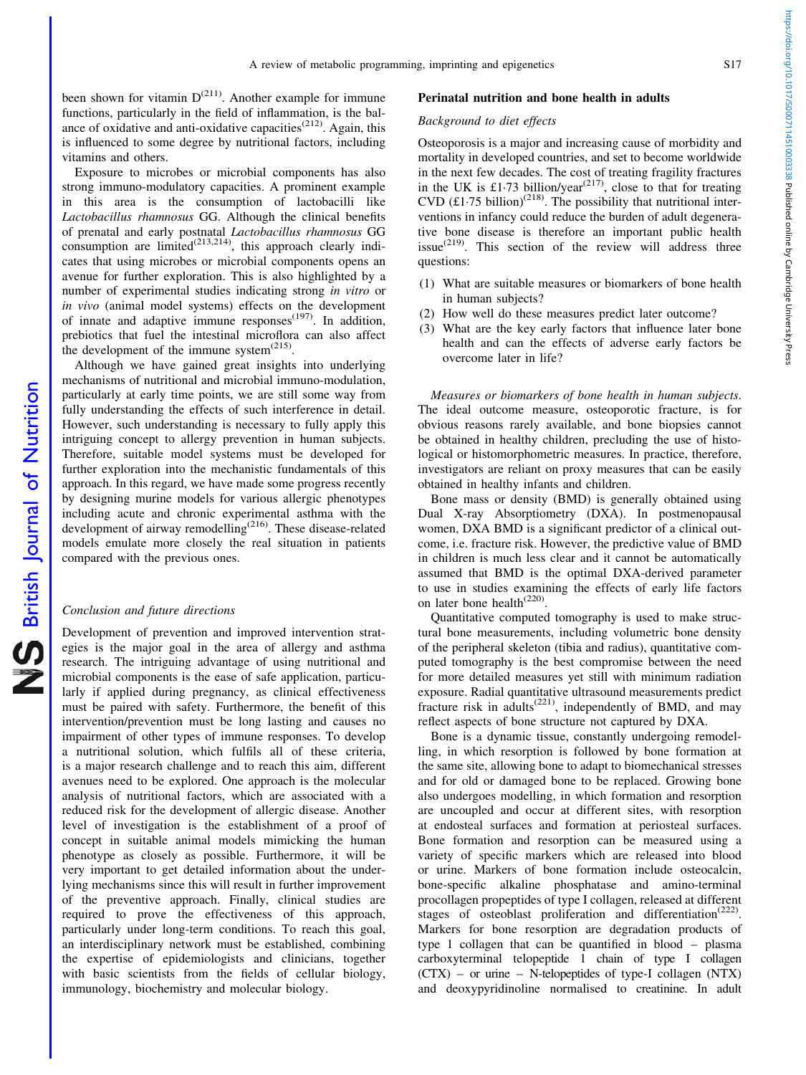been shown for vitamin  $D^{(211)}$ . Another example for immune functions, particularly in the field of inflammation, is the balance of oxidative and anti-oxidative capacities<sup> $(212)$ </sup>. Again, this is influenced to some degree by nutritional factors, including vitamins and others.

Exposure to microbes or microbial components has also strong immuno-modulatory capacities. A prominent example in this area is the consumption of lactobacilli like Lactobacillus rhamnosus GG. Although the clinical benefits of prenatal and early postnatal Lactobacillus rhamnosus GG consumption are limited<sup> $(213,214)$ </sup>, this approach clearly indicates that using microbes or microbial components opens an avenue for further exploration. This is also highlighted by a number of experimental studies indicating strong in vitro or in vivo (animal model systems) effects on the development of innate and adaptive immune  $resposes^{(197)}$ . In addition, prebiotics that fuel the intestinal microflora can also affect the development of the immune system $^{(215)}$ .

Although we have gained great insights into underlying mechanisms of nutritional and microbial immuno-modulation, particularly at early time points, we are still some way from fully understanding the effects of such interference in detail. However, such understanding is necessary to fully apply this intriguing concept to allergy prevention in human subjects. Therefore, suitable model systems must be developed for further exploration into the mechanistic fundamentals of this approach. In this regard, we have made some progress recently by designing murine models for various allergic phenotypes including acute and chronic experimental asthma with the development of airway remodelling<sup>(216)</sup>. These disease-related models emulate more closely the real situation in patients compared with the previous ones.

# Conclusion and future directions

Development of prevention and improved intervention strategies is the major goal in the area of allergy and asthma research. The intriguing advantage of using nutritional and microbial components is the ease of safe application, particularly if applied during pregnancy, as clinical effectiveness must be paired with safety. Furthermore, the benefit of this intervention/prevention must be long lasting and causes no impairment of other types of immune responses. To develop a nutritional solution, which fulfils all of these criteria, is a major research challenge and to reach this aim, different avenues need to be explored. One approach is the molecular analysis of nutritional factors, which are associated with a reduced risk for the development of allergic disease. Another level of investigation is the establishment of a proof of concept in suitable animal models mimicking the human phenotype as closely as possible. Furthermore, it will be very important to get detailed information about the underlying mechanisms since this will result in further improvement of the preventive approach. Finally, clinical studies are required to prove the effectiveness of this approach, particularly under long-term conditions. To reach this goal, an interdisciplinary network must be established, combining the expertise of epidemiologists and clinicians, together with basic scientists from the fields of cellular biology, immunology, biochemistry and molecular biology.

## Perinatal nutrition and bone health in adults

## Background to diet effects

Osteoporosis is a major and increasing cause of morbidity and mortality in developed countries, and set to become worldwide in the next few decades. The cost of treating fragility fractures in the UK is  $\pounds1.73$  billion/year<sup>(217)</sup>, close to that for treating CVD (£1.75 billion)<sup>(218)</sup>. The possibility that nutritional interventions in infancy could reduce the burden of adult degenerative bone disease is therefore an important public health issue<sup>(219)</sup>. This section of the review will address three questions:

- (1) What are suitable measures or biomarkers of bone health in human subjects?
- (2) How well do these measures predict later outcome?
- (3) What are the key early factors that influence later bone health and can the effects of adverse early factors be overcome later in life?

Measures or biomarkers of bone health in human subjects. The ideal outcome measure, osteoporotic fracture, is for obvious reasons rarely available, and bone biopsies cannot be obtained in healthy children, precluding the use of histological or histomorphometric measures. In practice, therefore, investigators are reliant on proxy measures that can be easily obtained in healthy infants and children.

Bone mass or density (BMD) is generally obtained using Dual X-ray Absorptiometry (DXA). In postmenopausal women, DXA BMD is a significant predictor of a clinical outcome, i.e. fracture risk. However, the predictive value of BMD in children is much less clear and it cannot be automatically assumed that BMD is the optimal DXA-derived parameter to use in studies examining the effects of early life factors on later bone health<sup>(220)</sup>.

Quantitative computed tomography is used to make structural bone measurements, including volumetric bone density of the peripheral skeleton (tibia and radius), quantitative computed tomography is the best compromise between the need for more detailed measures yet still with minimum radiation exposure. Radial quantitative ultrasound measurements predict fracture risk in adults<sup>(221)</sup>, independently of BMD, and may reflect aspects of bone structure not captured by DXA.

Bone is a dynamic tissue, constantly undergoing remodelling, in which resorption is followed by bone formation at the same site, allowing bone to adapt to biomechanical stresses and for old or damaged bone to be replaced. Growing bone also undergoes modelling, in which formation and resorption are uncoupled and occur at different sites, with resorption at endosteal surfaces and formation at periosteal surfaces. Bone formation and resorption can be measured using a variety of specific markers which are released into blood or urine. Markers of bone formation include osteocalcin, bone-specific alkaline phosphatase and amino-terminal procollagen propeptides of type I collagen, released at different stages of osteoblast proliferation and differentiation<sup>(222)</sup>. Markers for bone resorption are degradation products of type 1 collagen that can be quantified in blood – plasma carboxyterminal telopeptide 1 chain of type I collagen  $(CTX)$  – or urine – N-telopeptides of type-I collagen  $(NTX)$ and deoxypyridinoline normalised to creatinine. In adult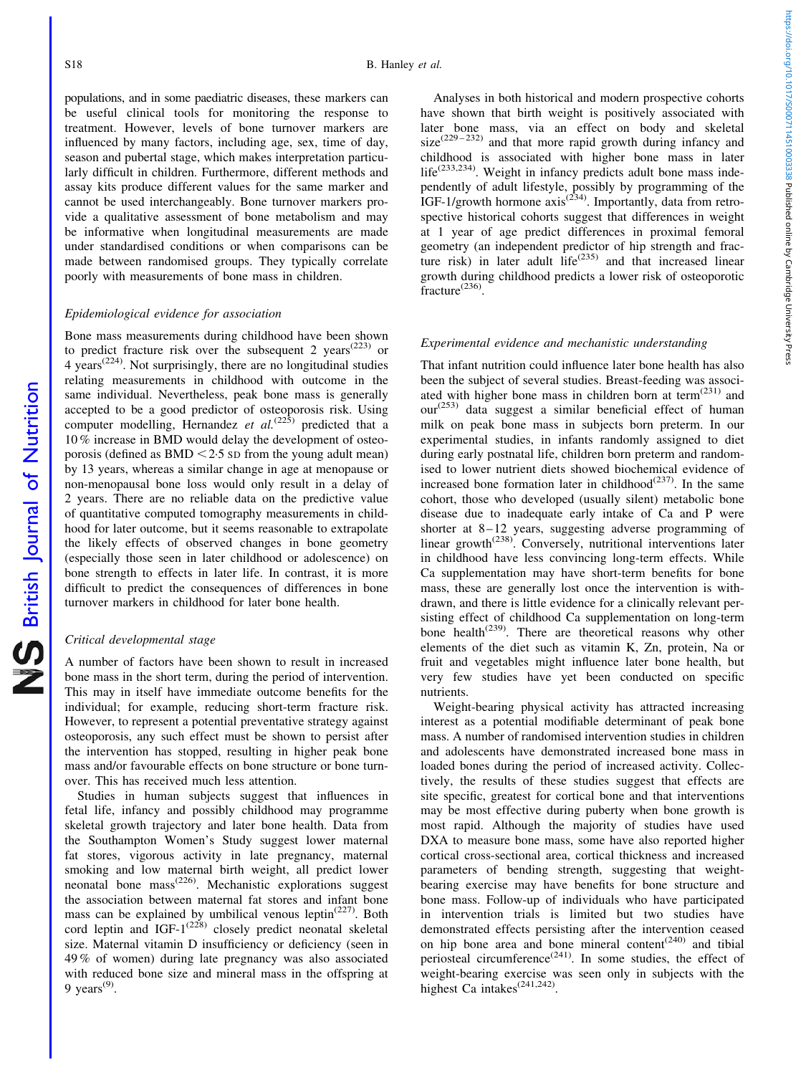https://doi.org/10.1017/S0007114510003338 Published online by Cambridge University Pres https://doi.org/10.1017/S0007114510003338 Published online by Cambridge University Press

populations, and in some paediatric diseases, these markers can be useful clinical tools for monitoring the response to treatment. However, levels of bone turnover markers are influenced by many factors, including age, sex, time of day, season and pubertal stage, which makes interpretation particularly difficult in children. Furthermore, different methods and assay kits produce different values for the same marker and cannot be used interchangeably. Bone turnover markers provide a qualitative assessment of bone metabolism and may be informative when longitudinal measurements are made under standardised conditions or when comparisons can be made between randomised groups. They typically correlate poorly with measurements of bone mass in children.

# Epidemiological evidence for association

Bone mass measurements during childhood have been shown to predict fracture risk over the subsequent 2 years<sup> $(223)$ </sup> or  $4$  years<sup>(224)</sup>. Not surprisingly, there are no longitudinal studies relating measurements in childhood with outcome in the same individual. Nevertheless, peak bone mass is generally accepted to be a good predictor of osteoporosis risk. Using computer modelling, Hernandez et  $al$ .<sup>(225)</sup> predicted that a 10 % increase in BMD would delay the development of osteoporosis (defined as  $BMD < 2.5$  SD from the young adult mean) by 13 years, whereas a similar change in age at menopause or non-menopausal bone loss would only result in a delay of 2 years. There are no reliable data on the predictive value of quantitative computed tomography measurements in childhood for later outcome, but it seems reasonable to extrapolate the likely effects of observed changes in bone geometry (especially those seen in later childhood or adolescence) on bone strength to effects in later life. In contrast, it is more difficult to predict the consequences of differences in bone turnover markers in childhood for later bone health.

#### Critical developmental stage

A number of factors have been shown to result in increased bone mass in the short term, during the period of intervention. This may in itself have immediate outcome benefits for the individual; for example, reducing short-term fracture risk. However, to represent a potential preventative strategy against osteoporosis, any such effect must be shown to persist after the intervention has stopped, resulting in higher peak bone mass and/or favourable effects on bone structure or bone turnover. This has received much less attention.

Studies in human subjects suggest that influences in fetal life, infancy and possibly childhood may programme skeletal growth trajectory and later bone health. Data from the Southampton Women's Study suggest lower maternal fat stores, vigorous activity in late pregnancy, maternal smoking and low maternal birth weight, all predict lower neonatal bone mass<sup> $(226)$ </sup>. Mechanistic explorations suggest the association between maternal fat stores and infant bone mass can be explained by umbilical venous leptin<sup>(227)</sup>. Both cord leptin and  $IGF-1^{(228)}$  closely predict neonatal skeletal size. Maternal vitamin D insufficiency or deficiency (seen in 49 % of women) during late pregnancy was also associated with reduced bone size and mineral mass in the offspring at 9 years $^{(9)}$ .

Analyses in both historical and modern prospective cohorts have shown that birth weight is positively associated with later bone mass, via an effect on body and skeletal  $size^{(229-232)}$  and that more rapid growth during infancy and childhood is associated with higher bone mass in later  $life^{(233,234)}$ . Weight in infancy predicts adult bone mass independently of adult lifestyle, possibly by programming of the IGF-1/growth hormone  $axis^{(234)}$ . Importantly, data from retrospective historical cohorts suggest that differences in weight at 1 year of age predict differences in proximal femoral geometry (an independent predictor of hip strength and fracture risk) in later adult  $\text{life}^{(235)}$  and that increased linear growth during childhood predicts a lower risk of osteoporotic fracture<sup>(236)</sup>.

# Experimental evidence and mechanistic understanding

That infant nutrition could influence later bone health has also been the subject of several studies. Breast-feeding was associated with higher bone mass in children born at term<sup> $(231)$ </sup> and  $our<sup>(253)</sup>$  data suggest a similar beneficial effect of human milk on peak bone mass in subjects born preterm. In our experimental studies, in infants randomly assigned to diet during early postnatal life, children born preterm and randomised to lower nutrient diets showed biochemical evidence of increased bone formation later in childhood<sup> $(237)$ </sup>. In the same cohort, those who developed (usually silent) metabolic bone disease due to inadequate early intake of Ca and P were shorter at 8–12 years, suggesting adverse programming of linear growth<sup> $(238)$ </sup>. Conversely, nutritional interventions later in childhood have less convincing long-term effects. While Ca supplementation may have short-term benefits for bone mass, these are generally lost once the intervention is withdrawn, and there is little evidence for a clinically relevant persisting effect of childhood Ca supplementation on long-term bone health<sup> $(239)$ </sup>. There are theoretical reasons why other elements of the diet such as vitamin K, Zn, protein, Na or fruit and vegetables might influence later bone health, but very few studies have yet been conducted on specific nutrients.

Weight-bearing physical activity has attracted increasing interest as a potential modifiable determinant of peak bone mass. A number of randomised intervention studies in children and adolescents have demonstrated increased bone mass in loaded bones during the period of increased activity. Collectively, the results of these studies suggest that effects are site specific, greatest for cortical bone and that interventions may be most effective during puberty when bone growth is most rapid. Although the majority of studies have used DXA to measure bone mass, some have also reported higher cortical cross-sectional area, cortical thickness and increased parameters of bending strength, suggesting that weightbearing exercise may have benefits for bone structure and bone mass. Follow-up of individuals who have participated in intervention trials is limited but two studies have demonstrated effects persisting after the intervention ceased on hip bone area and bone mineral content<sup> $(240)$ </sup> and tibial periosteal circumference<sup> $(241)$ </sup>. In some studies, the effect of weight-bearing exercise was seen only in subjects with the highest Ca intakes<sup>(241,242)</sup>.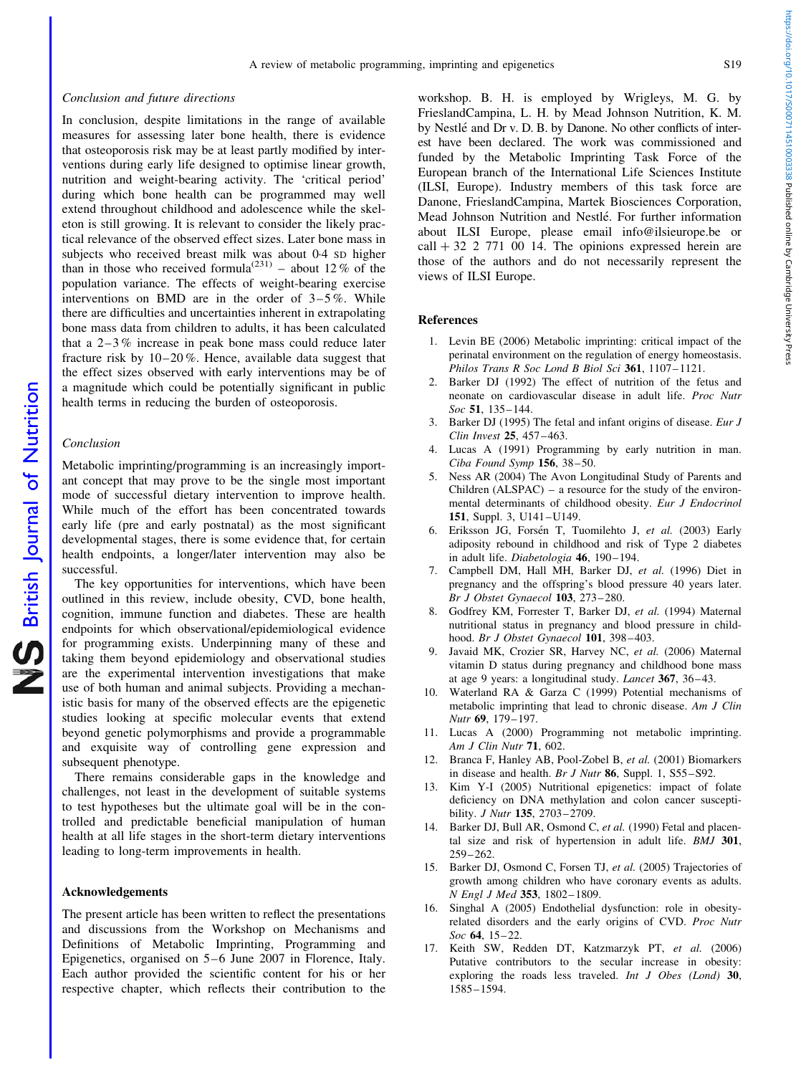https://doi.org/10.1017/S0007114510003338 Published online by Cambridge University Pres https://doi.org/10.1017/S0007114510003338 Published online by Cambridge University Press

In conclusion, despite limitations in the range of available measures for assessing later bone health, there is evidence that osteoporosis risk may be at least partly modified by interventions during early life designed to optimise linear growth, nutrition and weight-bearing activity. The 'critical period' during which bone health can be programmed may well extend throughout childhood and adolescence while the skeleton is still growing. It is relevant to consider the likely practical relevance of the observed effect sizes. Later bone mass in subjects who received breast milk was about 0·4 SD higher than in those who received formula<sup>(231)</sup> – about 12 % of the population variance. The effects of weight-bearing exercise interventions on BMD are in the order of 3–5 %. While there are difficulties and uncertainties inherent in extrapolating bone mass data from children to adults, it has been calculated that a  $2-3\%$  increase in peak bone mass could reduce later fracture risk by 10–20 %. Hence, available data suggest that the effect sizes observed with early interventions may be of a magnitude which could be potentially significant in public health terms in reducing the burden of osteoporosis.

## Conclusion

Metabolic imprinting/programming is an increasingly important concept that may prove to be the single most important mode of successful dietary intervention to improve health. While much of the effort has been concentrated towards early life (pre and early postnatal) as the most significant developmental stages, there is some evidence that, for certain health endpoints, a longer/later intervention may also be successful.

The key opportunities for interventions, which have been outlined in this review, include obesity, CVD, bone health, cognition, immune function and diabetes. These are health endpoints for which observational/epidemiological evidence for programming exists. Underpinning many of these and taking them beyond epidemiology and observational studies are the experimental intervention investigations that make use of both human and animal subjects. Providing a mechanistic basis for many of the observed effects are the epigenetic studies looking at specific molecular events that extend beyond genetic polymorphisms and provide a programmable and exquisite way of controlling gene expression and subsequent phenotype.

There remains considerable gaps in the knowledge and challenges, not least in the development of suitable systems to test hypotheses but the ultimate goal will be in the controlled and predictable beneficial manipulation of human health at all life stages in the short-term dietary interventions leading to long-term improvements in health.

# Acknowledgements

The present article has been written to reflect the presentations and discussions from the Workshop on Mechanisms and Definitions of Metabolic Imprinting, Programming and Epigenetics, organised on 5–6 June 2007 in Florence, Italy. Each author provided the scientific content for his or her respective chapter, which reflects their contribution to the

workshop. B. H. is employed by Wrigleys, M. G. by FrieslandCampina, L. H. by Mead Johnson Nutrition, K. M. by Nestlé and Dr v. D. B. by Danone. No other conflicts of interest have been declared. The work was commissioned and funded by the Metabolic Imprinting Task Force of the European branch of the International Life Sciences Institute (ILSI, Europe). Industry members of this task force are Danone, FrieslandCampina, Martek Biosciences Corporation, Mead Johnson Nutrition and Nestlé. For further information about ILSI Europe, please email info@ilsieurope.be or call  $+32$  2 771 00 14. The opinions expressed herein are those of the authors and do not necessarily represent the views of ILSI Europe.

# References

- 1. Levin BE (2006) Metabolic imprinting: critical impact of the perinatal environment on the regulation of energy homeostasis. Philos Trans R Soc Lond B Biol Sci 361, 1107-1121.
- 2. Barker DJ (1992) The effect of nutrition of the fetus and neonate on cardiovascular disease in adult life. Proc Nutr Soc 51, 135-144.
- 3. Barker DJ (1995) The fetal and infant origins of disease. Eur J Clin Invest 25, 457–463.
- 4. Lucas A (1991) Programming by early nutrition in man. Ciba Found Symp 156, 38–50.
- 5. Ness AR (2004) The Avon Longitudinal Study of Parents and Children (ALSPAC) – a resource for the study of the environmental determinants of childhood obesity. Eur J Endocrinol 151, Suppl. 3, U141–U149.
- 6. Eriksson JG, Forsén T, Tuomilehto J, et al. (2003) Early adiposity rebound in childhood and risk of Type 2 diabetes in adult life. Diabetologia 46, 190–194.
- 7. Campbell DM, Hall MH, Barker DJ, et al. (1996) Diet in pregnancy and the offspring's blood pressure 40 years later. Br J Obstet Gynaecol 103, 273–280.
- 8. Godfrey KM, Forrester T, Barker DJ, et al. (1994) Maternal nutritional status in pregnancy and blood pressure in childhood. Br J Obstet Gynaecol 101, 398-403.
- Javaid MK, Crozier SR, Harvey NC, et al. (2006) Maternal vitamin D status during pregnancy and childhood bone mass at age 9 years: a longitudinal study. Lancet 367, 36–43.
- 10. Waterland RA & Garza C (1999) Potential mechanisms of metabolic imprinting that lead to chronic disease. Am J Clin Nutr 69, 179–197.
- 11. Lucas A (2000) Programming not metabolic imprinting. Am J Clin Nutr 71, 602.
- 12. Branca F, Hanley AB, Pool-Zobel B, et al. (2001) Biomarkers in disease and health. Br J Nutr 86, Suppl. 1,  $S55-S92$ .
- 13. Kim Y-I (2005) Nutritional epigenetics: impact of folate deficiency on DNA methylation and colon cancer susceptibility. J Nutr 135, 2703–2709.
- 14. Barker DJ, Bull AR, Osmond C, et al. (1990) Fetal and placental size and risk of hypertension in adult life. BMJ 301, 259–262.
- 15. Barker DJ, Osmond C, Forsen TJ, et al. (2005) Trajectories of growth among children who have coronary events as adults. N Engl J Med 353, 1802–1809.
- 16. Singhal A (2005) Endothelial dysfunction: role in obesityrelated disorders and the early origins of CVD. Proc Nutr Soc **64**, 15-22.
- 17. Keith SW, Redden DT, Katzmarzyk PT, et al. (2006) Putative contributors to the secular increase in obesity: exploring the roads less traveled. Int J Obes (Lond) 30, 1585–1594.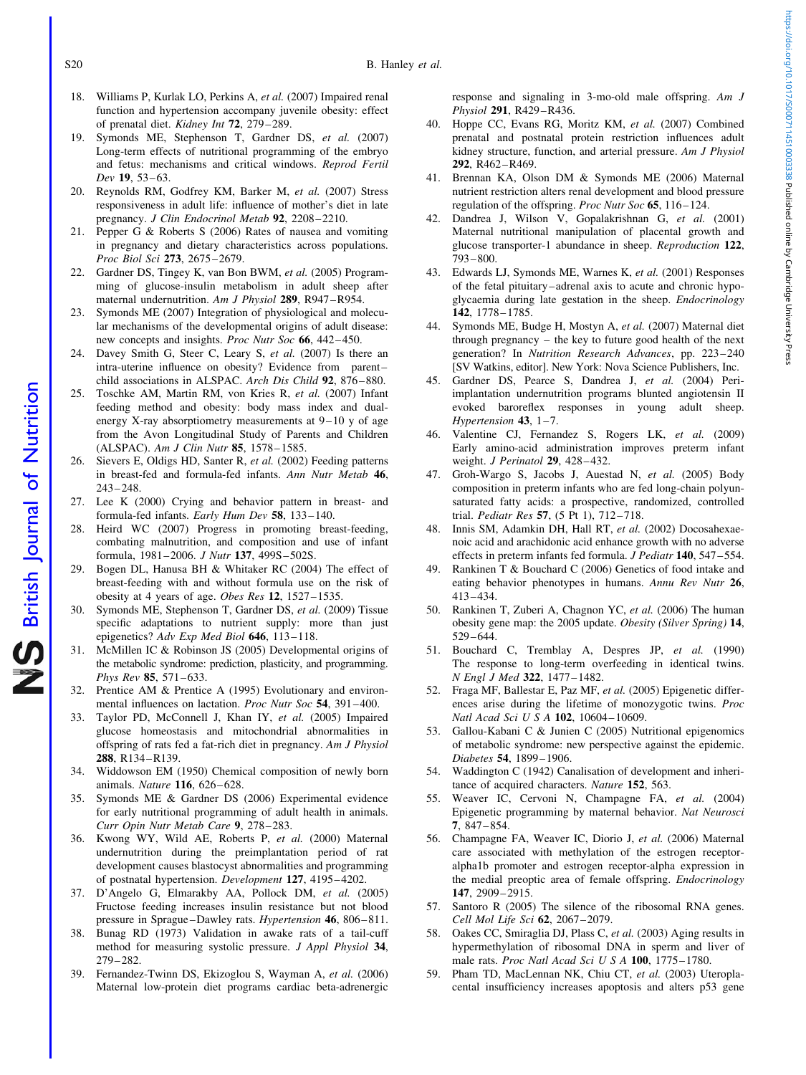- 18. Williams P, Kurlak LO, Perkins A, et al. (2007) Impaired renal function and hypertension accompany juvenile obesity: effect of prenatal diet. Kidney Int 72, 279–289.
- 19. Symonds ME, Stephenson T, Gardner DS, et al. (2007) Long-term effects of nutritional programming of the embryo and fetus: mechanisms and critical windows. Reprod Fertil Dev 19, 53–63.
- 20. Reynolds RM, Godfrey KM, Barker M, et al. (2007) Stress responsiveness in adult life: influence of mother's diet in late pregnancy. J Clin Endocrinol Metab 92, 2208–2210.
- 21. Pepper G & Roberts S (2006) Rates of nausea and vomiting in pregnancy and dietary characteristics across populations. Proc Biol Sci 273, 2675–2679.
- 22. Gardner DS, Tingey K, van Bon BWM, et al. (2005) Programming of glucose-insulin metabolism in adult sheep after maternal undernutrition. Am J Physiol 289, R947–R954.
- 23. Symonds ME (2007) Integration of physiological and molecular mechanisms of the developmental origins of adult disease: new concepts and insights. Proc Nutr Soc 66, 442–450.
- 24. Davey Smith G, Steer C, Leary S, et al. (2007) Is there an intra-uterine influence on obesity? Evidence from parent– child associations in ALSPAC. Arch Dis Child 92, 876–880.
- 25. Toschke AM, Martin RM, von Kries R, et al. (2007) Infant feeding method and obesity: body mass index and dualenergy X-ray absorptiometry measurements at 9–10 y of age from the Avon Longitudinal Study of Parents and Children (ALSPAC). Am J Clin Nutr 85, 1578–1585.
- 26. Sievers E, Oldigs HD, Santer R, et al. (2002) Feeding patterns in breast-fed and formula-fed infants. Ann Nutr Metab 46, 243–248.
- 27. Lee K (2000) Crying and behavior pattern in breast- and formula-fed infants. Early Hum Dev 58, 133–140.
- 28. Heird WC (2007) Progress in promoting breast-feeding, combating malnutrition, and composition and use of infant formula, 1981–2006. J Nutr 137, 499S–502S.
- 29. Bogen DL, Hanusa BH & Whitaker RC (2004) The effect of breast-feeding with and without formula use on the risk of obesity at 4 years of age. Obes Res 12, 1527–1535.
- 30. Symonds ME, Stephenson T, Gardner DS, et al. (2009) Tissue specific adaptations to nutrient supply: more than just epigenetics? Adv Exp Med Biol 646, 113–118.
- 31. McMillen IC & Robinson JS (2005) Developmental origins of the metabolic syndrome: prediction, plasticity, and programming. Phys Rev 85, 571–633.
- 32. Prentice AM & Prentice A (1995) Evolutionary and environmental influences on lactation. Proc Nutr Soc 54, 391–400.
- 33. Taylor PD, McConnell J, Khan IY, et al. (2005) Impaired glucose homeostasis and mitochondrial abnormalities in offspring of rats fed a fat-rich diet in pregnancy. Am J Physiol 288, R134–R139.
- 34. Widdowson EM (1950) Chemical composition of newly born animals. Nature 116, 626–628.
- 35. Symonds ME & Gardner DS (2006) Experimental evidence for early nutritional programming of adult health in animals. Curr Opin Nutr Metab Care 9, 278–283.
- 36. Kwong WY, Wild AE, Roberts P, et al. (2000) Maternal undernutrition during the preimplantation period of rat development causes blastocyst abnormalities and programming of postnatal hypertension. Development 127, 4195–4202.
- 37. D'Angelo G, Elmarakby AA, Pollock DM, et al. (2005) Fructose feeding increases insulin resistance but not blood pressure in Sprague–Dawley rats. Hypertension 46, 806–811.
- 38. Bunag RD (1973) Validation in awake rats of a tail-cuff method for measuring systolic pressure. J Appl Physiol 34, 279–282.
- 39. Fernandez-Twinn DS, Ekizoglou S, Wayman A, et al. (2006) Maternal low-protein diet programs cardiac beta-adrenergic

response and signaling in 3-mo-old male offspring. Am J Physiol 291, R429–R436.

- 40. Hoppe CC, Evans RG, Moritz KM, et al. (2007) Combined prenatal and postnatal protein restriction influences adult kidney structure, function, and arterial pressure. Am J Physiol 292, R462–R469.
- 41. Brennan KA, Olson DM & Symonds ME (2006) Maternal nutrient restriction alters renal development and blood pressure regulation of the offspring. Proc Nutr Soc 65, 116–124.
- 42. Dandrea J, Wilson V, Gopalakrishnan G, et al. (2001) Maternal nutritional manipulation of placental growth and glucose transporter-1 abundance in sheep. Reproduction 122, 793–800.
- 43. Edwards LJ, Symonds ME, Warnes K, et al. (2001) Responses of the fetal pituitary–adrenal axis to acute and chronic hypoglycaemia during late gestation in the sheep. Endocrinology 142, 1778–1785.
- 44. Symonds ME, Budge H, Mostyn A, et al. (2007) Maternal diet through pregnancy – the key to future good health of the next generation? In Nutrition Research Advances, pp. 223–240 [SV Watkins, editor]. New York: Nova Science Publishers, Inc.
- 45. Gardner DS, Pearce S, Dandrea J, et al. (2004) Periimplantation undernutrition programs blunted angiotensin II evoked baroreflex responses in young adult sheep. Hypertension 43, 1–7.
- 46. Valentine CJ, Fernandez S, Rogers LK, et al. (2009) Early amino-acid administration improves preterm infant weight. J Perinatol 29, 428–432.
- 47. Groh-Wargo S, Jacobs J, Auestad N, et al. (2005) Body composition in preterm infants who are fed long-chain polyunsaturated fatty acids: a prospective, randomized, controlled trial. Pediatr Res 57, (5 Pt 1), 712–718.
- 48. Innis SM, Adamkin DH, Hall RT, et al. (2002) Docosahexaenoic acid and arachidonic acid enhance growth with no adverse effects in preterm infants fed formula. J Pediatr 140, 547–554.
- 49. Rankinen T & Bouchard C (2006) Genetics of food intake and eating behavior phenotypes in humans. Annu Rev Nutr 26, 413–434.
- 50. Rankinen T, Zuberi A, Chagnon YC, et al. (2006) The human obesity gene map: the 2005 update. Obesity (Silver Spring) 14, 529–644.
- 51. Bouchard C, Tremblay A, Despres JP, et al. (1990) The response to long-term overfeeding in identical twins. N Engl J Med 322, 1477–1482.
- 52. Fraga MF, Ballestar E, Paz MF, et al. (2005) Epigenetic differences arise during the lifetime of monozygotic twins. Proc Natl Acad Sci U S A 102, 10604–10609.
- 53. Gallou-Kabani C & Junien C (2005) Nutritional epigenomics of metabolic syndrome: new perspective against the epidemic. Diabetes 54, 1899–1906.
- 54. Waddington C (1942) Canalisation of development and inheritance of acquired characters. Nature 152, 563.
- 55. Weaver IC, Cervoni N, Champagne FA, et al. (2004) Epigenetic programming by maternal behavior. Nat Neurosci 7, 847–854.
- 56. Champagne FA, Weaver IC, Diorio J, et al. (2006) Maternal care associated with methylation of the estrogen receptoralpha1b promoter and estrogen receptor-alpha expression in the medial preoptic area of female offspring. Endocrinology 147, 2909–2915.
- 57. Santoro R (2005) The silence of the ribosomal RNA genes. Cell Mol Life Sci 62, 2067–2079.
- 58. Oakes CC, Smiraglia DJ, Plass C, et al. (2003) Aging results in hypermethylation of ribosomal DNA in sperm and liver of male rats. Proc Natl Acad Sci U S A 100, 1775–1780.
- 59. Pham TD, MacLennan NK, Chiu CT, et al. (2003) Uteroplacental insufficiency increases apoptosis and alters p53 gene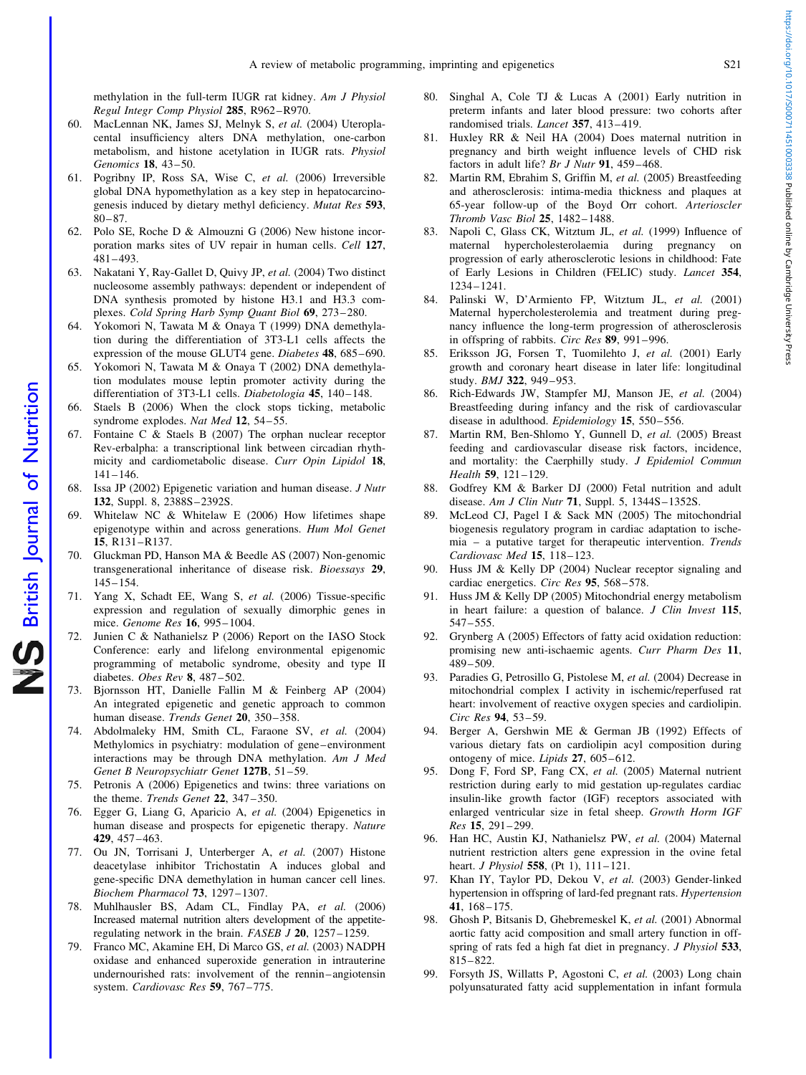methylation in the full-term IUGR rat kidney. Am J Physiol Regul Integr Comp Physiol 285, R962–R970.

- 60. MacLennan NK, James SJ, Melnyk S, et al. (2004) Uteroplacental insufficiency alters DNA methylation, one-carbon metabolism, and histone acetylation in IUGR rats. Physiol Genomics 18, 43–50.
- 61. Pogribny IP, Ross SA, Wise C, et al. (2006) Irreversible global DNA hypomethylation as a key step in hepatocarcinogenesis induced by dietary methyl deficiency. Mutat Res 593, 80–87.
- 62. Polo SE, Roche D & Almouzni G (2006) New histone incorporation marks sites of UV repair in human cells. Cell 127, 481–493.
- 63. Nakatani Y, Ray-Gallet D, Quivy JP, et al. (2004) Two distinct nucleosome assembly pathways: dependent or independent of DNA synthesis promoted by histone H3.1 and H3.3 complexes. Cold Spring Harb Symp Quant Biol 69, 273–280.
- 64. Yokomori N, Tawata M & Onaya T (1999) DNA demethylation during the differentiation of 3T3-L1 cells affects the expression of the mouse GLUT4 gene. Diabetes 48, 685–690.
- 65. Yokomori N, Tawata M & Onaya T (2002) DNA demethylation modulates mouse leptin promoter activity during the differentiation of 3T3-L1 cells. Diabetologia 45, 140-148.
- 66. Staels B (2006) When the clock stops ticking, metabolic syndrome explodes. Nat Med 12, 54–55.
- 67. Fontaine C & Staels B (2007) The orphan nuclear receptor Rev-erbalpha: a transcriptional link between circadian rhythmicity and cardiometabolic disease. Curr Opin Lipidol 18, 141–146.
- 68. Issa JP (2002) Epigenetic variation and human disease. J Nutr 132, Suppl. 8, 2388S–2392S.
- 69. Whitelaw NC & Whitelaw E (2006) How lifetimes shape epigenotype within and across generations. Hum Mol Genet 15, R131–R137.
- 70. Gluckman PD, Hanson MA & Beedle AS (2007) Non-genomic transgenerational inheritance of disease risk. Bioessays 29, 145–154.
- 71. Yang X, Schadt EE, Wang S, et al. (2006) Tissue-specific expression and regulation of sexually dimorphic genes in mice. Genome Res 16, 995–1004.
- 72. Junien C & Nathanielsz P (2006) Report on the IASO Stock Conference: early and lifelong environmental epigenomic programming of metabolic syndrome, obesity and type II diabetes. Obes Rev 8, 487-502.
- 73. Bjornsson HT, Danielle Fallin M & Feinberg AP (2004) An integrated epigenetic and genetic approach to common human disease. Trends Genet 20, 350–358.
- 74. Abdolmaleky HM, Smith CL, Faraone SV, et al. (2004) Methylomics in psychiatry: modulation of gene–environment interactions may be through DNA methylation. Am J Med Genet B Neuropsychiatr Genet 127B, 51–59.
- 75. Petronis A (2006) Epigenetics and twins: three variations on the theme. Trends Genet 22, 347-350.
- 76. Egger G, Liang G, Aparicio A, et al. (2004) Epigenetics in human disease and prospects for epigenetic therapy. Nature 429, 457–463.
- 77. Ou JN, Torrisani J, Unterberger A, et al. (2007) Histone deacetylase inhibitor Trichostatin A induces global and gene-specific DNA demethylation in human cancer cell lines. Biochem Pharmacol 73, 1297–1307.
- 78. Muhlhausler BS, Adam CL, Findlay PA, et al. (2006) Increased maternal nutrition alters development of the appetiteregulating network in the brain. FASEB J 20, 1257–1259.
- 79. Franco MC, Akamine EH, Di Marco GS, et al. (2003) NADPH oxidase and enhanced superoxide generation in intrauterine undernourished rats: involvement of the rennin–angiotensin system. Cardiovasc Res 59, 767–775.
- 80. Singhal A, Cole TJ & Lucas A (2001) Early nutrition in preterm infants and later blood pressure: two cohorts after randomised trials. Lancet 357, 413–419.
- 81. Huxley RR & Neil HA (2004) Does maternal nutrition in pregnancy and birth weight influence levels of CHD risk factors in adult life? Br J Nutr 91, 459-468.
- 82. Martin RM, Ebrahim S, Griffin M, et al. (2005) Breastfeeding and atherosclerosis: intima-media thickness and plaques at 65-year follow-up of the Boyd Orr cohort. Arterioscler Thromb Vasc Biol 25, 1482–1488.
- 83. Napoli C, Glass CK, Witztum JL, et al. (1999) Influence of maternal hypercholesterolaemia during pregnancy on progression of early atherosclerotic lesions in childhood: Fate of Early Lesions in Children (FELIC) study. Lancet 354, 1234–1241.
- 84. Palinski W, D'Armiento FP, Witztum JL, et al. (2001) Maternal hypercholesterolemia and treatment during pregnancy influence the long-term progression of atherosclerosis in offspring of rabbits. Circ Res 89, 991–996.
- 85. Eriksson JG, Forsen T, Tuomilehto J, et al. (2001) Early growth and coronary heart disease in later life: longitudinal study. BMJ 322, 949–953.
- 86. Rich-Edwards JW, Stampfer MJ, Manson JE, et al. (2004) Breastfeeding during infancy and the risk of cardiovascular disease in adulthood. Epidemiology 15, 550–556.
- 87. Martin RM, Ben-Shlomo Y, Gunnell D, et al. (2005) Breast feeding and cardiovascular disease risk factors, incidence, and mortality: the Caerphilly study. J Epidemiol Commun Health 59, 121–129.
- 88. Godfrey KM & Barker DJ (2000) Fetal nutrition and adult disease. Am J Clin Nutr 71, Suppl. 5, 1344S–1352S.
- 89. McLeod CJ, Pagel I & Sack MN (2005) The mitochondrial biogenesis regulatory program in cardiac adaptation to ischemia – a putative target for therapeutic intervention. Trends Cardiovasc Med 15, 118–123.
- 90. Huss JM & Kelly DP (2004) Nuclear receptor signaling and cardiac energetics. Circ Res 95, 568–578.
- 91. Huss JM & Kelly DP (2005) Mitochondrial energy metabolism in heart failure: a question of balance. J Clin Invest 115, 547–555.
- 92. Grynberg A (2005) Effectors of fatty acid oxidation reduction: promising new anti-ischaemic agents. Curr Pharm Des 11, 489–509.
- 93. Paradies G, Petrosillo G, Pistolese M, et al. (2004) Decrease in mitochondrial complex I activity in ischemic/reperfused rat heart: involvement of reactive oxygen species and cardiolipin. Circ Res 94, 53–59.
- 94. Berger A, Gershwin ME & German JB (1992) Effects of various dietary fats on cardiolipin acyl composition during ontogeny of mice. Lipids 27, 605–612.
- 95. Dong F, Ford SP, Fang CX, et al. (2005) Maternal nutrient restriction during early to mid gestation up-regulates cardiac insulin-like growth factor (IGF) receptors associated with enlarged ventricular size in fetal sheep. Growth Horm IGF Res 15, 291–299.
- 96. Han HC, Austin KJ, Nathanielsz PW, et al. (2004) Maternal nutrient restriction alters gene expression in the ovine fetal heart. *J Physiol* 558, (Pt 1), 111-121.
- 97. Khan IY, Taylor PD, Dekou V, et al. (2003) Gender-linked hypertension in offspring of lard-fed pregnant rats. Hypertension 41, 168–175.
- 98. Ghosh P, Bitsanis D, Ghebremeskel K, et al. (2001) Abnormal aortic fatty acid composition and small artery function in offspring of rats fed a high fat diet in pregnancy. J Physiol 533, 815–822.
- 99. Forsyth JS, Willatts P, Agostoni C, et al. (2003) Long chain polyunsaturated fatty acid supplementation in infant formula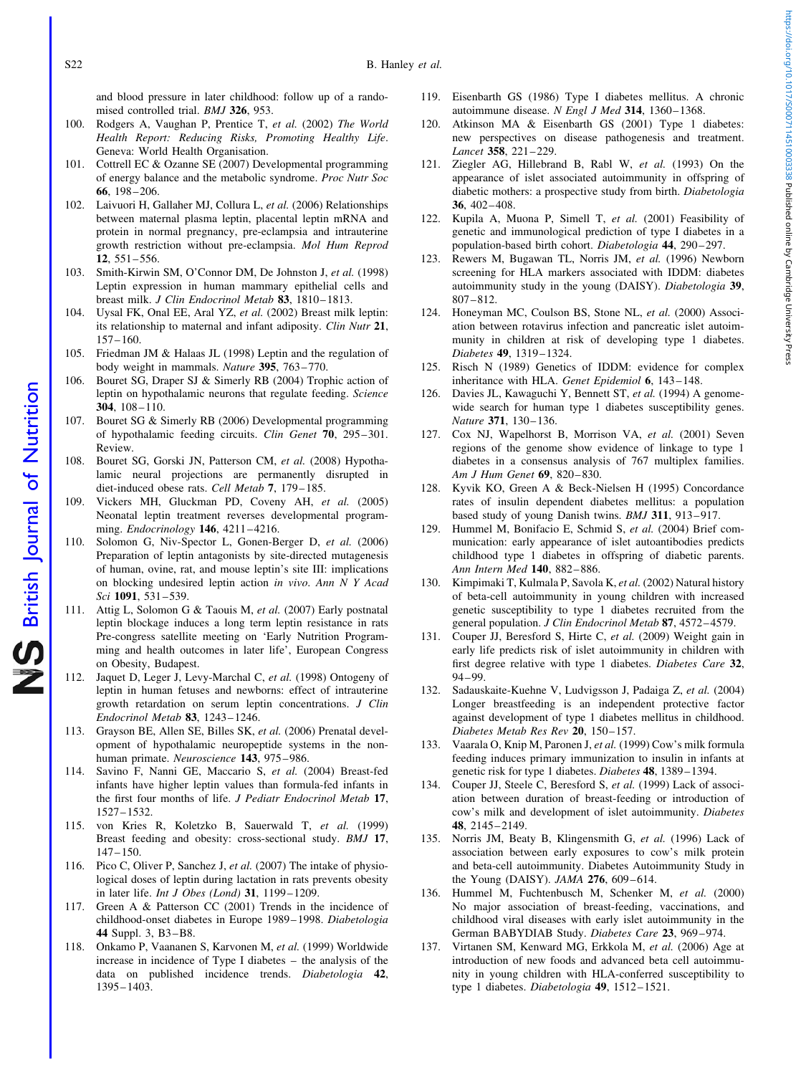and blood pressure in later childhood: follow up of a randomised controlled trial. BMJ 326, 953.

- 100. Rodgers A, Vaughan P, Prentice T, et al. (2002) The World Health Report: Reducing Risks, Promoting Healthy Life. Geneva: World Health Organisation.
- 101. Cottrell EC & Ozanne SE (2007) Developmental programming of energy balance and the metabolic syndrome. Proc Nutr Soc 66, 198–206.
- 102. Laivuori H, Gallaher MJ, Collura L, et al. (2006) Relationships between maternal plasma leptin, placental leptin mRNA and protein in normal pregnancy, pre-eclampsia and intrauterine growth restriction without pre-eclampsia. Mol Hum Reprod 12, 551–556.
- 103. Smith-Kirwin SM, O'Connor DM, De Johnston J, et al. (1998) Leptin expression in human mammary epithelial cells and breast milk. J Clin Endocrinol Metab 83, 1810–1813.
- 104. Uysal FK, Onal EE, Aral YZ, et al. (2002) Breast milk leptin: its relationship to maternal and infant adiposity. Clin Nutr 21, 157–160.
- 105. Friedman JM & Halaas JL (1998) Leptin and the regulation of body weight in mammals. Nature 395, 763–770.
- 106. Bouret SG, Draper SJ & Simerly RB (2004) Trophic action of leptin on hypothalamic neurons that regulate feeding. Science 304, 108–110.
- 107. Bouret SG & Simerly RB (2006) Developmental programming of hypothalamic feeding circuits. Clin Genet 70, 295–301. Review.
- 108. Bouret SG, Gorski JN, Patterson CM, et al. (2008) Hypothalamic neural projections are permanently disrupted in diet-induced obese rats. Cell Metab 7, 179–185.
- 109. Vickers MH, Gluckman PD, Coveny AH, et al. (2005) Neonatal leptin treatment reverses developmental programming. *Endocrinology* **146**, 4211-4216.
- 110. Solomon G, Niv-Spector L, Gonen-Berger D, et al. (2006) Preparation of leptin antagonists by site-directed mutagenesis of human, ovine, rat, and mouse leptin's site III: implications on blocking undesired leptin action in vivo. Ann N Y Acad Sci 1091, 531–539.
- 111. Attig L, Solomon G & Taouis M, et al. (2007) Early postnatal leptin blockage induces a long term leptin resistance in rats Pre-congress satellite meeting on 'Early Nutrition Programming and health outcomes in later life', European Congress on Obesity, Budapest.
- 112. Jaquet D, Leger J, Levy-Marchal C, et al. (1998) Ontogeny of leptin in human fetuses and newborns: effect of intrauterine growth retardation on serum leptin concentrations. J Clin Endocrinol Metab 83, 1243–1246.
- 113. Grayson BE, Allen SE, Billes SK, et al. (2006) Prenatal development of hypothalamic neuropeptide systems in the nonhuman primate. Neuroscience 143, 975-986.
- 114. Savino F, Nanni GE, Maccario S, et al. (2004) Breast-fed infants have higher leptin values than formula-fed infants in the first four months of life. J Pediatr Endocrinol Metab 17, 1527–1532.
- 115. von Kries R, Koletzko B, Sauerwald T, et al. (1999) Breast feeding and obesity: cross-sectional study. BMJ 17, 147–150.
- 116. Pico C, Oliver P, Sanchez J, et al. (2007) The intake of physiological doses of leptin during lactation in rats prevents obesity in later life. Int J Obes (Lond) 31, 1199–1209.
- 117. Green A & Patterson CC (2001) Trends in the incidence of childhood-onset diabetes in Europe 1989–1998. Diabetologia 44 Suppl. 3, B3–B8.
- 118. Onkamo P, Vaananen S, Karvonen M, et al. (1999) Worldwide increase in incidence of Type I diabetes – the analysis of the data on published incidence trends. Diabetologia 42, 1395–1403.
- 119. Eisenbarth GS (1986) Type I diabetes mellitus. A chronic autoimmune disease. N Engl J Med 314, 1360–1368.
- 120. Atkinson MA & Eisenbarth GS (2001) Type 1 diabetes: new perspectives on disease pathogenesis and treatment. Lancet 358, 221–229.
- 121. Ziegler AG, Hillebrand B, Rabl W, et al. (1993) On the appearance of islet associated autoimmunity in offspring of diabetic mothers: a prospective study from birth. Diabetologia 36, 402–408.
- 122. Kupila A, Muona P, Simell T, et al. (2001) Feasibility of genetic and immunological prediction of type I diabetes in a population-based birth cohort. Diabetologia 44, 290–297.
- 123. Rewers M, Bugawan TL, Norris JM, et al. (1996) Newborn screening for HLA markers associated with IDDM: diabetes autoimmunity study in the young (DAISY). Diabetologia 39, 807–812.
- 124. Honeyman MC, Coulson BS, Stone NL, et al. (2000) Association between rotavirus infection and pancreatic islet autoimmunity in children at risk of developing type 1 diabetes. Diabetes 49, 1319–1324.
- 125. Risch N (1989) Genetics of IDDM: evidence for complex inheritance with HLA. Genet Epidemiol 6, 143–148.
- 126. Davies JL, Kawaguchi Y, Bennett ST, et al. (1994) A genomewide search for human type 1 diabetes susceptibility genes. Nature 371, 130–136.
- 127. Cox NJ, Wapelhorst B, Morrison VA, et al. (2001) Seven regions of the genome show evidence of linkage to type 1 diabetes in a consensus analysis of 767 multiplex families. Am J Hum Genet 69, 820–830.
- 128. Kyvik KO, Green A & Beck-Nielsen H (1995) Concordance rates of insulin dependent diabetes mellitus: a population based study of young Danish twins. BMJ 311, 913–917.
- 129. Hummel M, Bonifacio E, Schmid S, et al. (2004) Brief communication: early appearance of islet autoantibodies predicts childhood type 1 diabetes in offspring of diabetic parents. Ann Intern Med 140, 882–886.
- 130. Kimpimaki T, Kulmala P, Savola K, et al. (2002) Natural history of beta-cell autoimmunity in young children with increased genetic susceptibility to type 1 diabetes recruited from the general population. J Clin Endocrinol Metab 87, 4572–4579.
- 131. Couper JJ, Beresford S, Hirte C, et al. (2009) Weight gain in early life predicts risk of islet autoimmunity in children with first degree relative with type 1 diabetes. Diabetes Care 32, 94–99.
- 132. Sadauskaite-Kuehne V, Ludvigsson J, Padaiga Z, et al. (2004) Longer breastfeeding is an independent protective factor against development of type 1 diabetes mellitus in childhood. Diabetes Metab Res Rev 20, 150–157.
- 133. Vaarala O, Knip M, Paronen J, et al. (1999) Cow's milk formula feeding induces primary immunization to insulin in infants at genetic risk for type 1 diabetes. Diabetes 48, 1389–1394.
- 134. Couper JJ, Steele C, Beresford S, et al. (1999) Lack of association between duration of breast-feeding or introduction of cow's milk and development of islet autoimmunity. Diabetes 48, 2145–2149.
- 135. Norris JM, Beaty B, Klingensmith G, et al. (1996) Lack of association between early exposures to cow's milk protein and beta-cell autoimmunity. Diabetes Autoimmunity Study in the Young (DAISY). JAMA 276, 609–614.
- 136. Hummel M, Fuchtenbusch M, Schenker M, et al. (2000) No major association of breast-feeding, vaccinations, and childhood viral diseases with early islet autoimmunity in the German BABYDIAB Study. Diabetes Care 23, 969–974.
- 137. Virtanen SM, Kenward MG, Erkkola M, et al. (2006) Age at introduction of new foods and advanced beta cell autoimmunity in young children with HLA-conferred susceptibility to type 1 diabetes. Diabetologia 49, 1512–1521.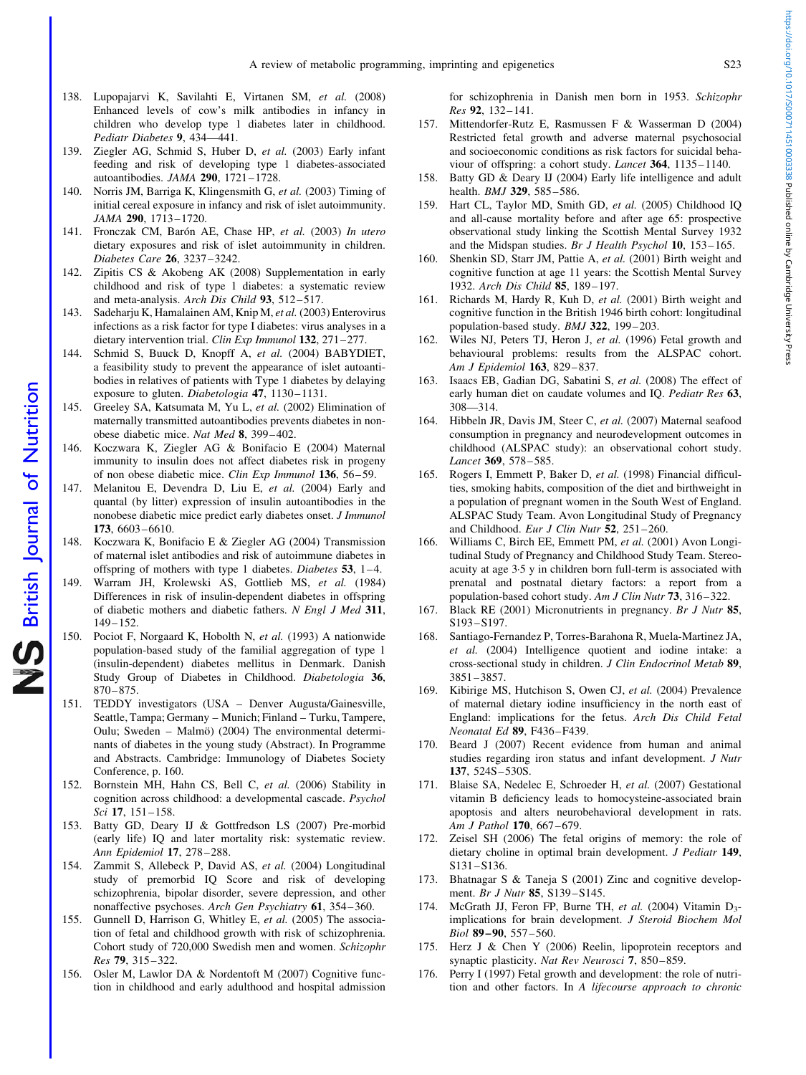- 138. Lupopajarvi K, Savilahti E, Virtanen SM, et al. (2008) Enhanced levels of cow's milk antibodies in infancy in children who develop type 1 diabetes later in childhood. Pediatr Diabetes 9, 434—441.
- 139. Ziegler AG, Schmid S, Huber D, et al. (2003) Early infant feeding and risk of developing type 1 diabetes-associated autoantibodies. JAMA 290, 1721–1728.
- 140. Norris JM, Barriga K, Klingensmith G, et al. (2003) Timing of initial cereal exposure in infancy and risk of islet autoimmunity. JAMA 290, 1713–1720.
- 141. Fronczak CM, Barón AE, Chase HP, et al. (2003) In utero dietary exposures and risk of islet autoimmunity in children. Diabetes Care 26, 3237–3242.
- 142. Zipitis CS & Akobeng AK (2008) Supplementation in early childhood and risk of type 1 diabetes: a systematic review and meta-analysis. Arch Dis Child 93, 512–517.
- 143. Sadeharju K, Hamalainen AM, Knip M, et al. (2003) Enterovirus infections as a risk factor for type I diabetes: virus analyses in a dietary intervention trial. Clin Exp Immunol 132, 271-277.
- 144. Schmid S, Buuck D, Knopff A, et al. (2004) BABYDIET, a feasibility study to prevent the appearance of islet autoantibodies in relatives of patients with Type 1 diabetes by delaying exposure to gluten. Diabetologia 47, 1130–1131.
- 145. Greeley SA, Katsumata M, Yu L, et al. (2002) Elimination of maternally transmitted autoantibodies prevents diabetes in nonobese diabetic mice. Nat Med 8, 399–402.
- 146. Koczwara K, Ziegler AG & Bonifacio E (2004) Maternal immunity to insulin does not affect diabetes risk in progeny of non obese diabetic mice. Clin Exp Immunol 136, 56–59.
- 147. Melanitou E, Devendra D, Liu E, et al. (2004) Early and quantal (by litter) expression of insulin autoantibodies in the nonobese diabetic mice predict early diabetes onset. J Immunol 173, 6603–6610.
- 148. Koczwara K, Bonifacio E & Ziegler AG (2004) Transmission of maternal islet antibodies and risk of autoimmune diabetes in offspring of mothers with type 1 diabetes. Diabetes 53, 1–4.
- 149. Warram JH, Krolewski AS, Gottlieb MS, et al. (1984) Differences in risk of insulin-dependent diabetes in offspring of diabetic mothers and diabetic fathers. N Engl J Med 311, 149–152.
- 150. Pociot F, Norgaard K, Hobolth N, et al. (1993) A nationwide population-based study of the familial aggregation of type 1 (insulin-dependent) diabetes mellitus in Denmark. Danish Study Group of Diabetes in Childhood. Diabetologia 36, 870–875.
- 151. TEDDY investigators (USA Denver Augusta/Gainesville, Seattle, Tampa; Germany – Munich; Finland – Turku, Tampere, Oulu; Sweden – Malmö) (2004) The environmental determinants of diabetes in the young study (Abstract). In Programme and Abstracts. Cambridge: Immunology of Diabetes Society Conference, p. 160.
- 152. Bornstein MH, Hahn CS, Bell C, et al. (2006) Stability in cognition across childhood: a developmental cascade. Psychol Sci 17, 151–158.
- 153. Batty GD, Deary IJ & Gottfredson LS (2007) Pre-morbid (early life) IQ and later mortality risk: systematic review. Ann Epidemiol 17, 278–288.
- 154. Zammit S, Allebeck P, David AS, et al. (2004) Longitudinal study of premorbid IQ Score and risk of developing schizophrenia, bipolar disorder, severe depression, and other nonaffective psychoses. Arch Gen Psychiatry 61, 354–360.
- 155. Gunnell D, Harrison G, Whitley E, et al. (2005) The association of fetal and childhood growth with risk of schizophrenia. Cohort study of 720,000 Swedish men and women. Schizophr Res 79, 315–322.
- 156. Osler M, Lawlor DA & Nordentoft M (2007) Cognitive function in childhood and early adulthood and hospital admission

for schizophrenia in Danish men born in 1953. Schizophr Res 92, 132–141.

- 157. Mittendorfer-Rutz E, Rasmussen F & Wasserman D (2004) Restricted fetal growth and adverse maternal psychosocial and socioeconomic conditions as risk factors for suicidal behaviour of offspring: a cohort study. Lancet 364, 1135–1140.
- 158. Batty GD & Deary IJ (2004) Early life intelligence and adult health. BMJ 329, 585-586.
- 159. Hart CL, Taylor MD, Smith GD, et al. (2005) Childhood IQ and all-cause mortality before and after age 65: prospective observational study linking the Scottish Mental Survey 1932 and the Midspan studies. Br J Health Psychol 10, 153–165.
- 160. Shenkin SD, Starr JM, Pattie A, et al. (2001) Birth weight and cognitive function at age 11 years: the Scottish Mental Survey 1932. Arch Dis Child 85, 189–197.
- 161. Richards M, Hardy R, Kuh D, et al. (2001) Birth weight and cognitive function in the British 1946 birth cohort: longitudinal population-based study. BMJ 322, 199–203.
- 162. Wiles NJ, Peters TJ, Heron J, et al. (1996) Fetal growth and behavioural problems: results from the ALSPAC cohort. Am J Epidemiol 163, 829–837.
- 163. Isaacs EB, Gadian DG, Sabatini S, et al. (2008) The effect of early human diet on caudate volumes and IQ. Pediatr Res 63, 308—314.
- 164. Hibbeln JR, Davis JM, Steer C, et al. (2007) Maternal seafood consumption in pregnancy and neurodevelopment outcomes in childhood (ALSPAC study): an observational cohort study. Lancet 369, 578–585.
- 165. Rogers I, Emmett P, Baker D, et al. (1998) Financial difficulties, smoking habits, composition of the diet and birthweight in a population of pregnant women in the South West of England. ALSPAC Study Team. Avon Longitudinal Study of Pregnancy and Childhood. Eur J Clin Nutr 52, 251–260.
- 166. Williams C, Birch EE, Emmett PM, et al. (2001) Avon Longitudinal Study of Pregnancy and Childhood Study Team. Stereoacuity at age 3·5 y in children born full-term is associated with prenatal and postnatal dietary factors: a report from a population-based cohort study. Am J Clin Nutr 73, 316–322.
- 167. Black RE (2001) Micronutrients in pregnancy. Br J Nutr 85, S193–S197.
- 168. Santiago-Fernandez P, Torres-Barahona R, Muela-Martinez JA, et al. (2004) Intelligence quotient and iodine intake: a cross-sectional study in children. J Clin Endocrinol Metab 89, 3851–3857.
- 169. Kibirige MS, Hutchison S, Owen CJ, et al. (2004) Prevalence of maternal dietary iodine insufficiency in the north east of England: implications for the fetus. Arch Dis Child Fetal Neonatal Ed 89, F436–F439.
- 170. Beard J (2007) Recent evidence from human and animal studies regarding iron status and infant development. J Nutr 137, 524S–530S.
- 171. Blaise SA, Nedelec E, Schroeder H, et al. (2007) Gestational vitamin B deficiency leads to homocysteine-associated brain apoptosis and alters neurobehavioral development in rats. Am J Pathol 170, 667–679.
- 172. Zeisel SH (2006) The fetal origins of memory: the role of dietary choline in optimal brain development. J Pediatr 149, S131–S136.
- 173. Bhatnagar S & Taneja S (2001) Zinc and cognitive development. Br J Nutr 85, S139–S145.
- 174. McGrath JJ, Feron FP, Burne TH, et al. (2004) Vitamin  $D_3$ implications for brain development. J Steroid Biochem Mol Biol 89 –90, 557–560.
- 175. Herz J & Chen Y (2006) Reelin, lipoprotein receptors and synaptic plasticity. Nat Rev Neurosci 7, 850–859.
- 176. Perry I (1997) Fetal growth and development: the role of nutrition and other factors. In A lifecourse approach to chronic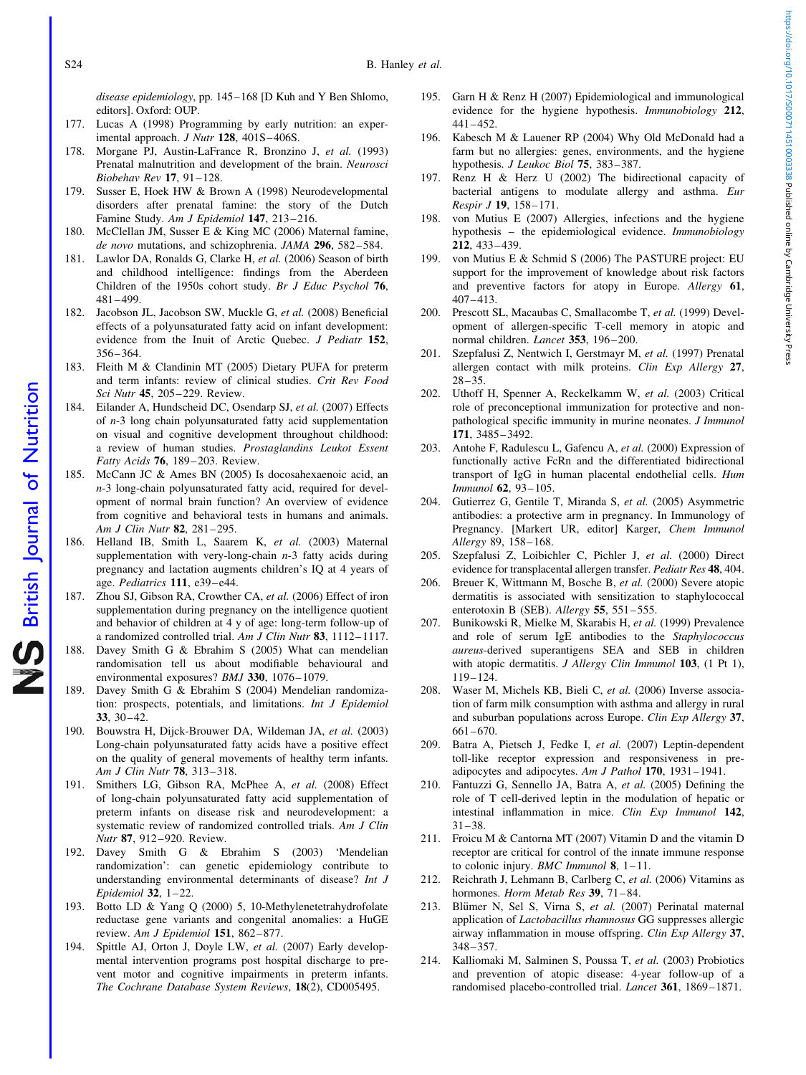disease epidemiology, pp. 145–168 [D Kuh and Y Ben Shlomo, editors]. Oxford: OUP.

- 177. Lucas A (1998) Programming by early nutrition: an experimental approach. J Nutr 128, 401S-406S.
- 178. Morgane PJ, Austin-LaFrance R, Bronzino J, et al. (1993) Prenatal malnutrition and development of the brain. Neurosci Biobehav Rev 17, 91–128.
- 179. Susser E, Hoek HW & Brown A (1998) Neurodevelopmental disorders after prenatal famine: the story of the Dutch Famine Study. Am J Epidemiol 147, 213–216.
- 180. McClellan JM, Susser E & King MC (2006) Maternal famine, de novo mutations, and schizophrenia. JAMA 296, 582-584.
- 181. Lawlor DA, Ronalds G, Clarke H, et al. (2006) Season of birth and childhood intelligence: findings from the Aberdeen Children of the 1950s cohort study. Br J Educ Psychol 76, 481–499.
- 182. Jacobson JL, Jacobson SW, Muckle G, et al. (2008) Beneficial effects of a polyunsaturated fatty acid on infant development: evidence from the Inuit of Arctic Quebec. J Pediatr 152, 356–364.
- 183. Fleith M & Clandinin MT (2005) Dietary PUFA for preterm and term infants: review of clinical studies. Crit Rev Food Sci Nutr 45, 205-229. Review.
- 184. Eilander A, Hundscheid DC, Osendarp SJ, et al. (2007) Effects of n-3 long chain polyunsaturated fatty acid supplementation on visual and cognitive development throughout childhood: a review of human studies. Prostaglandins Leukot Essent Fatty Acids 76, 189–203. Review.
- 185. McCann JC & Ames BN (2005) Is docosahexaenoic acid, an  $n-3$  long-chain polyunsaturated fatty acid, required for development of normal brain function? An overview of evidence from cognitive and behavioral tests in humans and animals. Am J Clin Nutr 82, 281–295.
- 186. Helland IB, Smith L, Saarem K, et al. (2003) Maternal supplementation with very-long-chain  $n-3$  fatty acids during pregnancy and lactation augments children's IQ at 4 years of age. Pediatrics 111, e39–e44.
- 187. Zhou SJ, Gibson RA, Crowther CA, et al. (2006) Effect of iron supplementation during pregnancy on the intelligence quotient and behavior of children at 4 y of age: long-term follow-up of a randomized controlled trial. Am J Clin Nutr 83, 1112–1117.
- 188. Davey Smith G & Ebrahim S (2005) What can mendelian randomisation tell us about modifiable behavioural and environmental exposures? BMJ 330, 1076–1079.
- 189. Davey Smith G & Ebrahim S (2004) Mendelian randomization: prospects, potentials, and limitations. Int J Epidemiol 33, 30–42.
- 190. Bouwstra H, Dijck-Brouwer DA, Wildeman JA, et al. (2003) Long-chain polyunsaturated fatty acids have a positive effect on the quality of general movements of healthy term infants. Am J Clin Nutr 78, 313–318.
- 191. Smithers LG, Gibson RA, McPhee A, et al. (2008) Effect of long-chain polyunsaturated fatty acid supplementation of preterm infants on disease risk and neurodevelopment: a systematic review of randomized controlled trials. Am J Clin Nutr 87, 912–920. Review.
- 192. Davey Smith G & Ebrahim S (2003) 'Mendelian randomization': can genetic epidemiology contribute to understanding environmental determinants of disease? Int J Epidemiol 32, 1–22.
- 193. Botto LD & Yang Q (2000) 5, 10-Methylenetetrahydrofolate reductase gene variants and congenital anomalies: a HuGE review. Am J Epidemiol 151, 862–877.
- 194. Spittle AJ, Orton J, Doyle LW, et al. (2007) Early developmental intervention programs post hospital discharge to prevent motor and cognitive impairments in preterm infants. The Cochrane Database System Reviews, 18(2), CD005495.
- 195. Garn H & Renz H (2007) Epidemiological and immunological evidence for the hygiene hypothesis. Immunobiology 212, 441–452.
- 196. Kabesch M & Lauener RP (2004) Why Old McDonald had a farm but no allergies: genes, environments, and the hygiene hypothesis. J Leukoc Biol 75, 383–387.
- 197. Renz H & Herz U (2002) The bidirectional capacity of bacterial antigens to modulate allergy and asthma. Eur Respir J 19, 158–171.
- 198. von Mutius E (2007) Allergies, infections and the hygiene hypothesis – the epidemiological evidence. Immunobiology 212, 433–439.
- 199. von Mutius E & Schmid S (2006) The PASTURE project: EU support for the improvement of knowledge about risk factors and preventive factors for atopy in Europe. Allergy 61, 407–413.
- 200. Prescott SL, Macaubas C, Smallacombe T, et al. (1999) Development of allergen-specific T-cell memory in atopic and normal children. Lancet 353, 196–200.
- 201. Szepfalusi Z, Nentwich I, Gerstmayr M, et al. (1997) Prenatal allergen contact with milk proteins. Clin Exp Allergy 27, 28–35.
- 202. Uthoff H, Spenner A, Reckelkamm W, et al. (2003) Critical role of preconceptional immunization for protective and nonpathological specific immunity in murine neonates. J Immunol 171, 3485–3492.
- 203. Antohe F, Radulescu L, Gafencu A, et al. (2000) Expression of functionally active FcRn and the differentiated bidirectional transport of IgG in human placental endothelial cells. Hum Immunol 62, 93–105.
- 204. Gutierrez G, Gentile T, Miranda S, et al. (2005) Asymmetric antibodies: a protective arm in pregnancy. In Immunology of Pregnancy. [Markert UR, editor] Karger, Chem Immunol Allergy 89, 158–168.
- 205. Szepfalusi Z, Loibichler C, Pichler J, et al. (2000) Direct evidence for transplacental allergen transfer. Pediatr Res 48, 404.
- 206. Breuer K, Wittmann M, Bosche B, et al. (2000) Severe atopic dermatitis is associated with sensitization to staphylococcal enterotoxin B (SEB). Allergy 55, 551-555.
- 207. Bunikowski R, Mielke M, Skarabis H, et al. (1999) Prevalence and role of serum IgE antibodies to the Staphylococcus aureus-derived superantigens SEA and SEB in children with atopic dermatitis. *J Allergy Clin Immunol* 103, (1 Pt 1), 119–124.
- 208. Waser M, Michels KB, Bieli C, et al. (2006) Inverse association of farm milk consumption with asthma and allergy in rural and suburban populations across Europe. Clin Exp Allergy 37, 661–670.
- 209. Batra A, Pietsch J, Fedke I, et al. (2007) Leptin-dependent toll-like receptor expression and responsiveness in preadipocytes and adipocytes. Am J Pathol 170, 1931–1941.
- 210. Fantuzzi G, Sennello JA, Batra A, et al. (2005) Defining the role of T cell-derived leptin in the modulation of hepatic or intestinal inflammation in mice. Clin Exp Immunol 142,  $31 - 38$
- 211. Froicu M & Cantorna MT (2007) Vitamin D and the vitamin D receptor are critical for control of the innate immune response to colonic injury. *BMC Immunol* 8,  $1-11$ .
- 212. Reichrath J, Lehmann B, Carlberg C, et al. (2006) Vitamins as hormones. Horm Metab Res 39, 71-84.
- 213. Blümer N, Sel S, Virna S, et al. (2007) Perinatal maternal application of Lactobacillus rhamnosus GG suppresses allergic airway inflammation in mouse offspring. Clin Exp Allergy 37, 348–357.
- 214. Kalliomaki M, Salminen S, Poussa T, et al. (2003) Probiotics and prevention of atopic disease: 4-year follow-up of a randomised placebo-controlled trial. Lancet 361, 1869–1871.